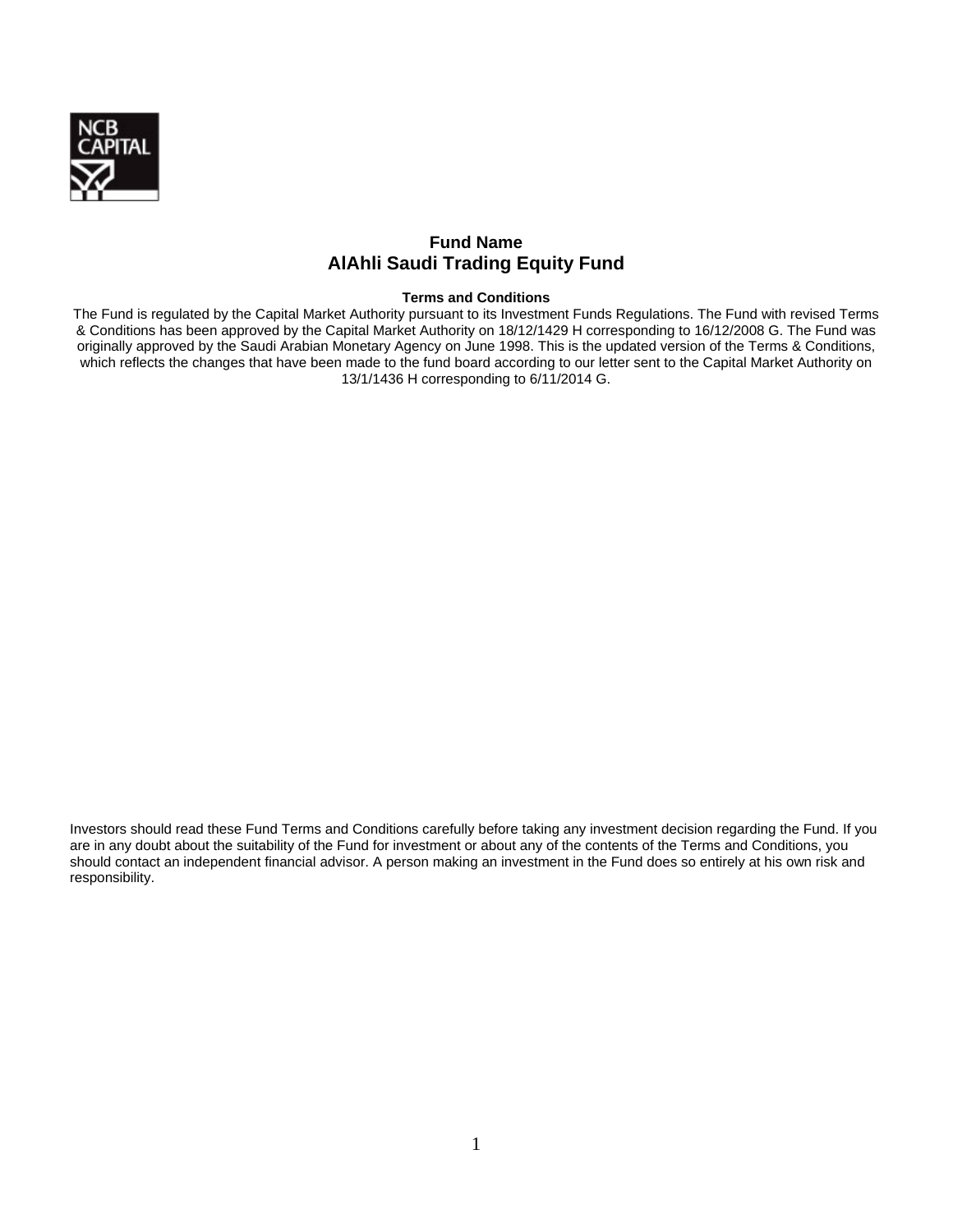

# **Fund Name AlAhli Saudi Trading Equity Fund**

## **Terms and Conditions**

The Fund is regulated by the Capital Market Authority pursuant to its Investment Funds Regulations. The Fund with revised Terms & Conditions has been approved by the Capital Market Authority on 18/12/1429 H corresponding to 16/12/2008 G. The Fund was originally approved by the Saudi Arabian Monetary Agency on June 1998. This is the updated version of the Terms & Conditions, which reflects the changes that have been made to the fund board according to our letter sent to the Capital Market Authority on 13/1/1436 H corresponding to 6/11/2014 G.

Investors should read these Fund Terms and Conditions carefully before taking any investment decision regarding the Fund. If you are in any doubt about the suitability of the Fund for investment or about any of the contents of the Terms and Conditions, you should contact an independent financial advisor. A person making an investment in the Fund does so entirely at his own risk and responsibility.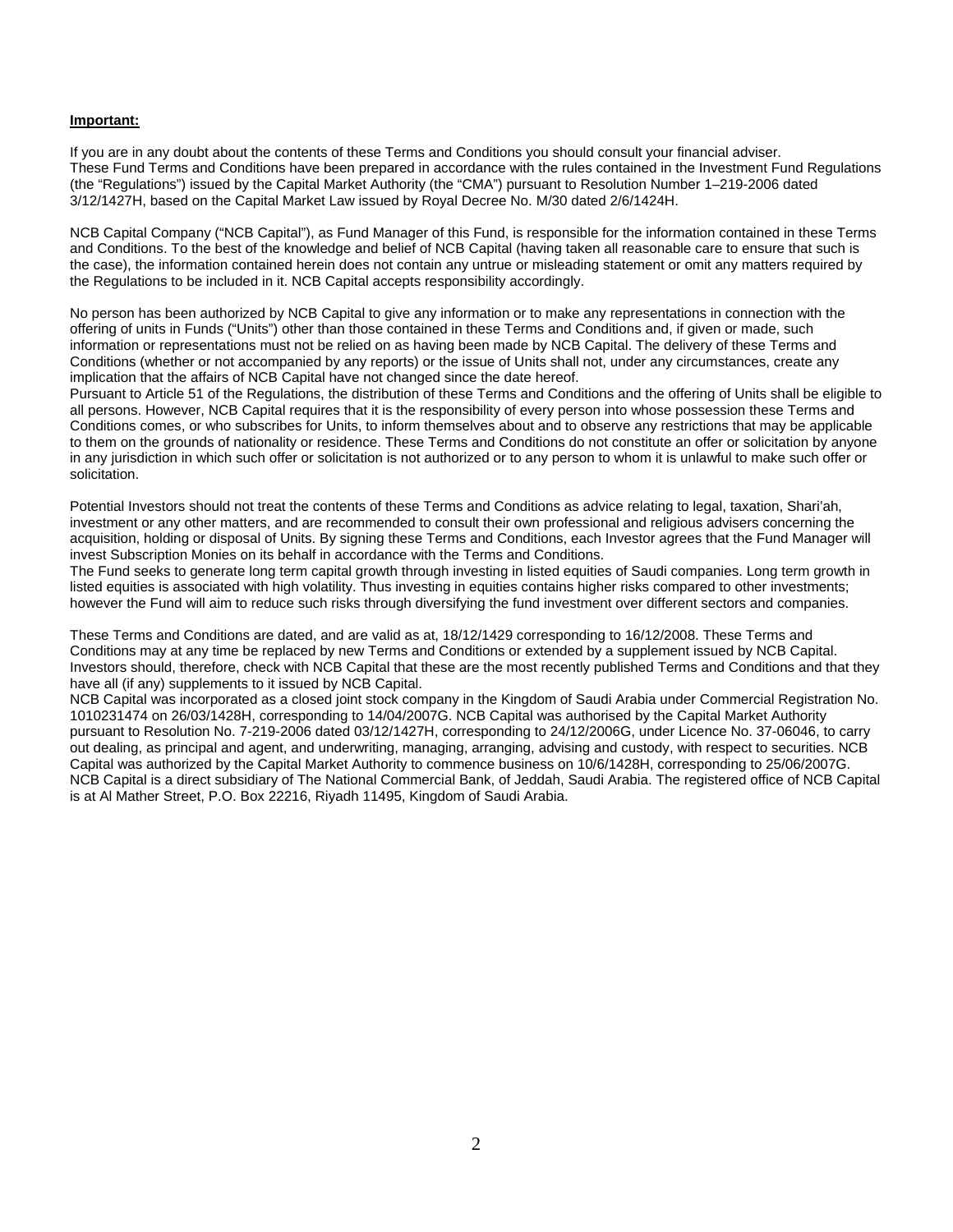#### **Important:**

If you are in any doubt about the contents of these Terms and Conditions you should consult your financial adviser. These Fund Terms and Conditions have been prepared in accordance with the rules contained in the Investment Fund Regulations (the "Regulations") issued by the Capital Market Authority (the "CMA") pursuant to Resolution Number 1–219-2006 dated 3/12/1427H, based on the Capital Market Law issued by Royal Decree No. M/30 dated 2/6/1424H.

NCB Capital Company ("NCB Capital"), as Fund Manager of this Fund, is responsible for the information contained in these Terms and Conditions. To the best of the knowledge and belief of NCB Capital (having taken all reasonable care to ensure that such is the case), the information contained herein does not contain any untrue or misleading statement or omit any matters required by the Regulations to be included in it. NCB Capital accepts responsibility accordingly.

No person has been authorized by NCB Capital to give any information or to make any representations in connection with the offering of units in Funds ("Units") other than those contained in these Terms and Conditions and, if given or made, such information or representations must not be relied on as having been made by NCB Capital. The delivery of these Terms and Conditions (whether or not accompanied by any reports) or the issue of Units shall not, under any circumstances, create any implication that the affairs of NCB Capital have not changed since the date hereof.

Pursuant to Article 51 of the Regulations, the distribution of these Terms and Conditions and the offering of Units shall be eligible to all persons. However, NCB Capital requires that it is the responsibility of every person into whose possession these Terms and Conditions comes, or who subscribes for Units, to inform themselves about and to observe any restrictions that may be applicable to them on the grounds of nationality or residence. These Terms and Conditions do not constitute an offer or solicitation by anyone in any jurisdiction in which such offer or solicitation is not authorized or to any person to whom it is unlawful to make such offer or solicitation.

Potential Investors should not treat the contents of these Terms and Conditions as advice relating to legal, taxation, Shari'ah, investment or any other matters, and are recommended to consult their own professional and religious advisers concerning the acquisition, holding or disposal of Units. By signing these Terms and Conditions, each Investor agrees that the Fund Manager will invest Subscription Monies on its behalf in accordance with the Terms and Conditions.

The Fund seeks to generate long term capital growth through investing in listed equities of Saudi companies. Long term growth in listed equities is associated with high volatility. Thus investing in equities contains higher risks compared to other investments; however the Fund will aim to reduce such risks through diversifying the fund investment over different sectors and companies.

These Terms and Conditions are dated, and are valid as at, 18/12/1429 corresponding to 16/12/2008. These Terms and Conditions may at any time be replaced by new Terms and Conditions or extended by a supplement issued by NCB Capital. Investors should, therefore, check with NCB Capital that these are the most recently published Terms and Conditions and that they have all (if any) supplements to it issued by NCB Capital.

NCB Capital was incorporated as a closed joint stock company in the Kingdom of Saudi Arabia under Commercial Registration No. 1010231474 on 26/03/1428H, corresponding to 14/04/2007G. NCB Capital was authorised by the Capital Market Authority pursuant to Resolution No. 7-219-2006 dated 03/12/1427H, corresponding to 24/12/2006G, under Licence No. 37-06046, to carry out dealing, as principal and agent, and underwriting, managing, arranging, advising and custody, with respect to securities. NCB Capital was authorized by the Capital Market Authority to commence business on 10/6/1428H, corresponding to 25/06/2007G. NCB Capital is a direct subsidiary of The National Commercial Bank, of Jeddah, Saudi Arabia. The registered office of NCB Capital is at Al Mather Street, P.O. Box 22216, Riyadh 11495, Kingdom of Saudi Arabia.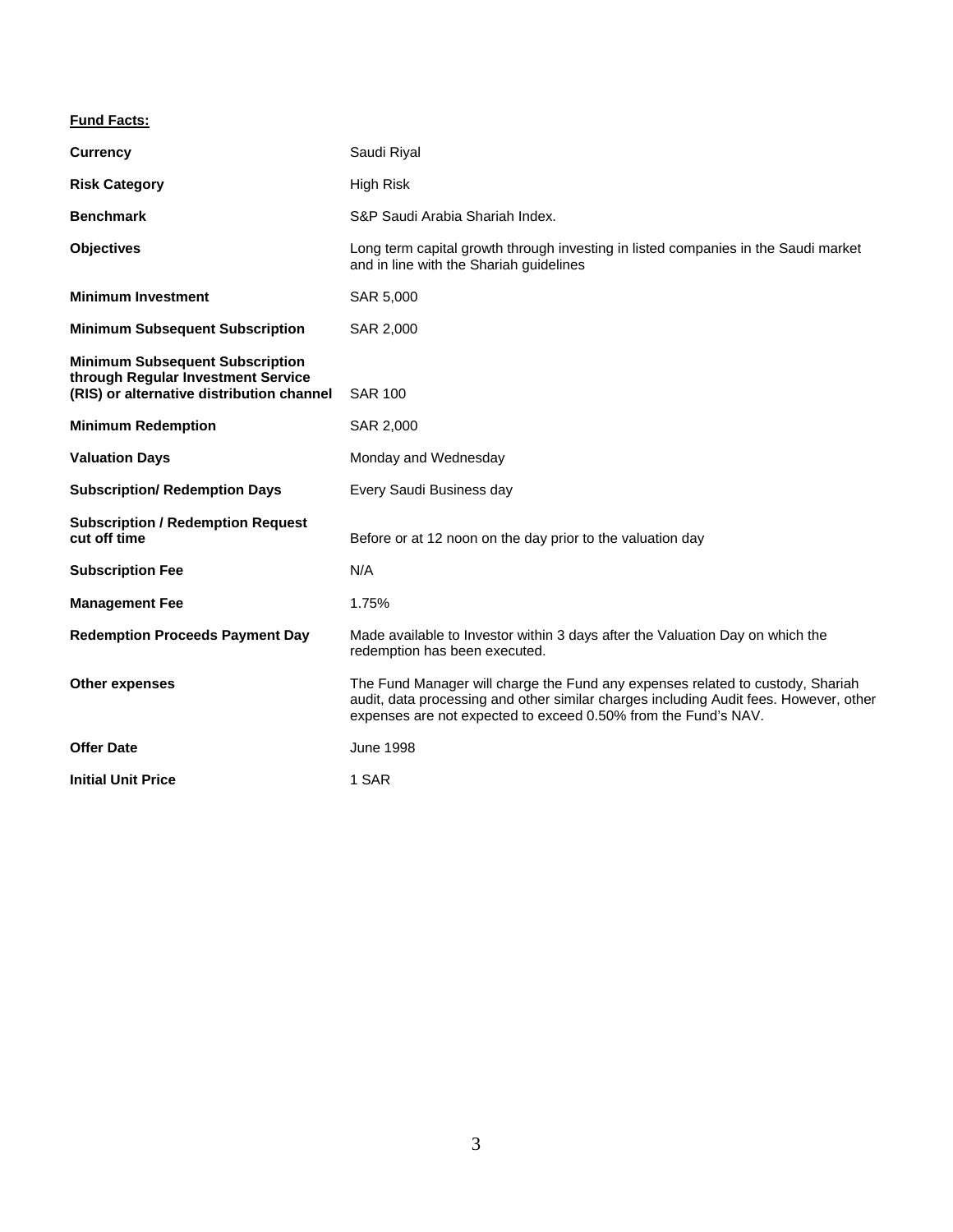# **Fund Facts:**

| <b>Currency</b>                                                                                                           | Saudi Riyal                                                                                                                                                                                                                               |
|---------------------------------------------------------------------------------------------------------------------------|-------------------------------------------------------------------------------------------------------------------------------------------------------------------------------------------------------------------------------------------|
| <b>Risk Category</b>                                                                                                      | High Risk                                                                                                                                                                                                                                 |
| <b>Benchmark</b>                                                                                                          | S&P Saudi Arabia Shariah Index.                                                                                                                                                                                                           |
| <b>Objectives</b>                                                                                                         | Long term capital growth through investing in listed companies in the Saudi market<br>and in line with the Shariah guidelines                                                                                                             |
| <b>Minimum Investment</b>                                                                                                 | SAR 5,000                                                                                                                                                                                                                                 |
| <b>Minimum Subsequent Subscription</b>                                                                                    | SAR 2,000                                                                                                                                                                                                                                 |
| <b>Minimum Subsequent Subscription</b><br>through Regular Investment Service<br>(RIS) or alternative distribution channel | <b>SAR 100</b>                                                                                                                                                                                                                            |
| <b>Minimum Redemption</b>                                                                                                 | SAR 2,000                                                                                                                                                                                                                                 |
| <b>Valuation Days</b>                                                                                                     | Monday and Wednesday                                                                                                                                                                                                                      |
| <b>Subscription/ Redemption Days</b>                                                                                      | Every Saudi Business day                                                                                                                                                                                                                  |
| <b>Subscription / Redemption Request</b><br>cut off time                                                                  | Before or at 12 noon on the day prior to the valuation day                                                                                                                                                                                |
| <b>Subscription Fee</b>                                                                                                   | N/A                                                                                                                                                                                                                                       |
| <b>Management Fee</b>                                                                                                     | 1.75%                                                                                                                                                                                                                                     |
| <b>Redemption Proceeds Payment Day</b>                                                                                    | Made available to Investor within 3 days after the Valuation Day on which the<br>redemption has been executed.                                                                                                                            |
| <b>Other expenses</b>                                                                                                     | The Fund Manager will charge the Fund any expenses related to custody, Shariah<br>audit, data processing and other similar charges including Audit fees. However, other<br>expenses are not expected to exceed 0.50% from the Fund's NAV. |
| <b>Offer Date</b>                                                                                                         | <b>June 1998</b>                                                                                                                                                                                                                          |
| <b>Initial Unit Price</b>                                                                                                 | 1 SAR                                                                                                                                                                                                                                     |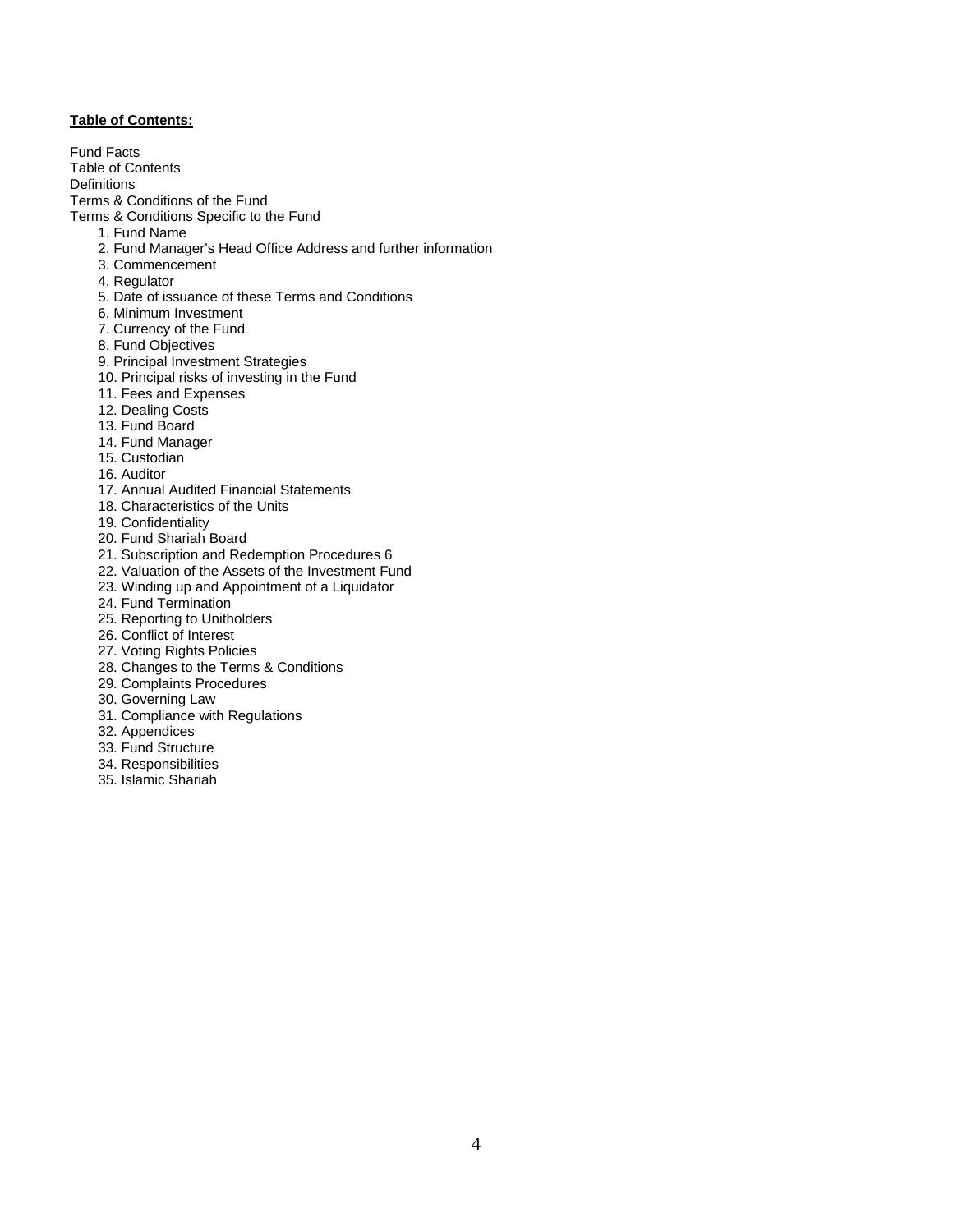## **Table of Contents:**

Fund Facts Table of Contents **Definitions** Terms & Conditions of the Fund Terms & Conditions Specific to the Fund 1. Fund Name 2. Fund Manager's Head Office Address and further information 3. Commencement 4. Regulator 5. Date of issuance of these Terms and Conditions 6. Minimum Investment 7. Currency of the Fund 8. Fund Objectives 9. Principal Investment Strategies 10. Principal risks of investing in the Fund 11. Fees and Expenses 12. Dealing Costs 13. Fund Board

- 
- 14. Fund Manager
- 15. Custodian
- 16. Auditor
- 17. Annual Audited Financial Statements
- 18. Characteristics of the Units
- 19. Confidentiality
- 20. Fund Shariah Board
- 21. Subscription and Redemption Procedures 6
- 22. Valuation of the Assets of the Investment Fund
- 23. Winding up and Appointment of a Liquidator
- 24. Fund Termination
- 25. Reporting to Unitholders
- 26. Conflict of Interest
- 27. Voting Rights Policies
- 28. Changes to the Terms & Conditions
- 29. Complaints Procedures
- 30. Governing Law
- 31. Compliance with Regulations
- 32. Appendices
- 33. Fund Structure
- 34. Responsibilities
- 35. Islamic Shariah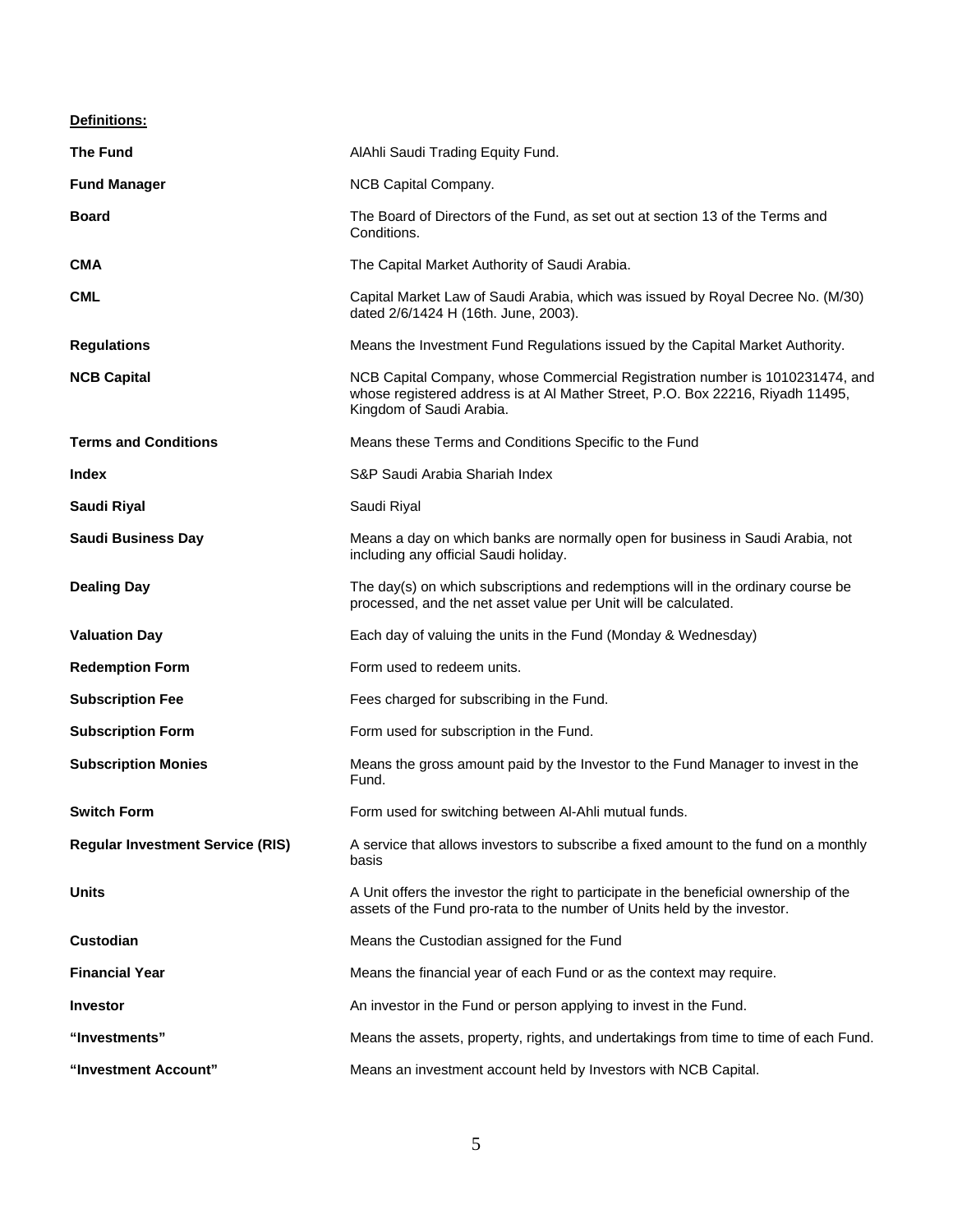**Definitions:** 

| <b>The Fund</b>                         | AlAhli Saudi Trading Equity Fund.                                                                                                                                                          |  |  |  |  |
|-----------------------------------------|--------------------------------------------------------------------------------------------------------------------------------------------------------------------------------------------|--|--|--|--|
| <b>Fund Manager</b>                     | NCB Capital Company.                                                                                                                                                                       |  |  |  |  |
| <b>Board</b>                            | The Board of Directors of the Fund, as set out at section 13 of the Terms and<br>Conditions.                                                                                               |  |  |  |  |
| <b>CMA</b>                              | The Capital Market Authority of Saudi Arabia.                                                                                                                                              |  |  |  |  |
| <b>CML</b>                              | Capital Market Law of Saudi Arabia, which was issued by Royal Decree No. (M/30)<br>dated 2/6/1424 H (16th. June, 2003).                                                                    |  |  |  |  |
| <b>Regulations</b>                      | Means the Investment Fund Regulations issued by the Capital Market Authority.                                                                                                              |  |  |  |  |
| <b>NCB Capital</b>                      | NCB Capital Company, whose Commercial Registration number is 1010231474, and<br>whose registered address is at Al Mather Street, P.O. Box 22216, Riyadh 11495,<br>Kingdom of Saudi Arabia. |  |  |  |  |
| <b>Terms and Conditions</b>             | Means these Terms and Conditions Specific to the Fund                                                                                                                                      |  |  |  |  |
| Index                                   | S&P Saudi Arabia Shariah Index                                                                                                                                                             |  |  |  |  |
| Saudi Riyal                             | Saudi Riyal                                                                                                                                                                                |  |  |  |  |
| <b>Saudi Business Day</b>               | Means a day on which banks are normally open for business in Saudi Arabia, not<br>including any official Saudi holiday.                                                                    |  |  |  |  |
| <b>Dealing Day</b>                      | The day(s) on which subscriptions and redemptions will in the ordinary course be<br>processed, and the net asset value per Unit will be calculated.                                        |  |  |  |  |
| <b>Valuation Day</b>                    | Each day of valuing the units in the Fund (Monday & Wednesday)                                                                                                                             |  |  |  |  |
| <b>Redemption Form</b>                  | Form used to redeem units.                                                                                                                                                                 |  |  |  |  |
| <b>Subscription Fee</b>                 | Fees charged for subscribing in the Fund.                                                                                                                                                  |  |  |  |  |
| <b>Subscription Form</b>                | Form used for subscription in the Fund.                                                                                                                                                    |  |  |  |  |
| <b>Subscription Monies</b>              | Means the gross amount paid by the Investor to the Fund Manager to invest in the<br>Fund.                                                                                                  |  |  |  |  |
| <b>Switch Form</b>                      | Form used for switching between Al-Ahli mutual funds.                                                                                                                                      |  |  |  |  |
| <b>Regular Investment Service (RIS)</b> | A service that allows investors to subscribe a fixed amount to the fund on a monthly<br>basis                                                                                              |  |  |  |  |
| <b>Units</b>                            | A Unit offers the investor the right to participate in the beneficial ownership of the<br>assets of the Fund pro-rata to the number of Units held by the investor.                         |  |  |  |  |
| Custodian                               | Means the Custodian assigned for the Fund                                                                                                                                                  |  |  |  |  |
| <b>Financial Year</b>                   | Means the financial year of each Fund or as the context may require.                                                                                                                       |  |  |  |  |
| <b>Investor</b>                         | An investor in the Fund or person applying to invest in the Fund.                                                                                                                          |  |  |  |  |
| "Investments"                           | Means the assets, property, rights, and undertakings from time to time of each Fund.                                                                                                       |  |  |  |  |
| "Investment Account"                    | Means an investment account held by Investors with NCB Capital.                                                                                                                            |  |  |  |  |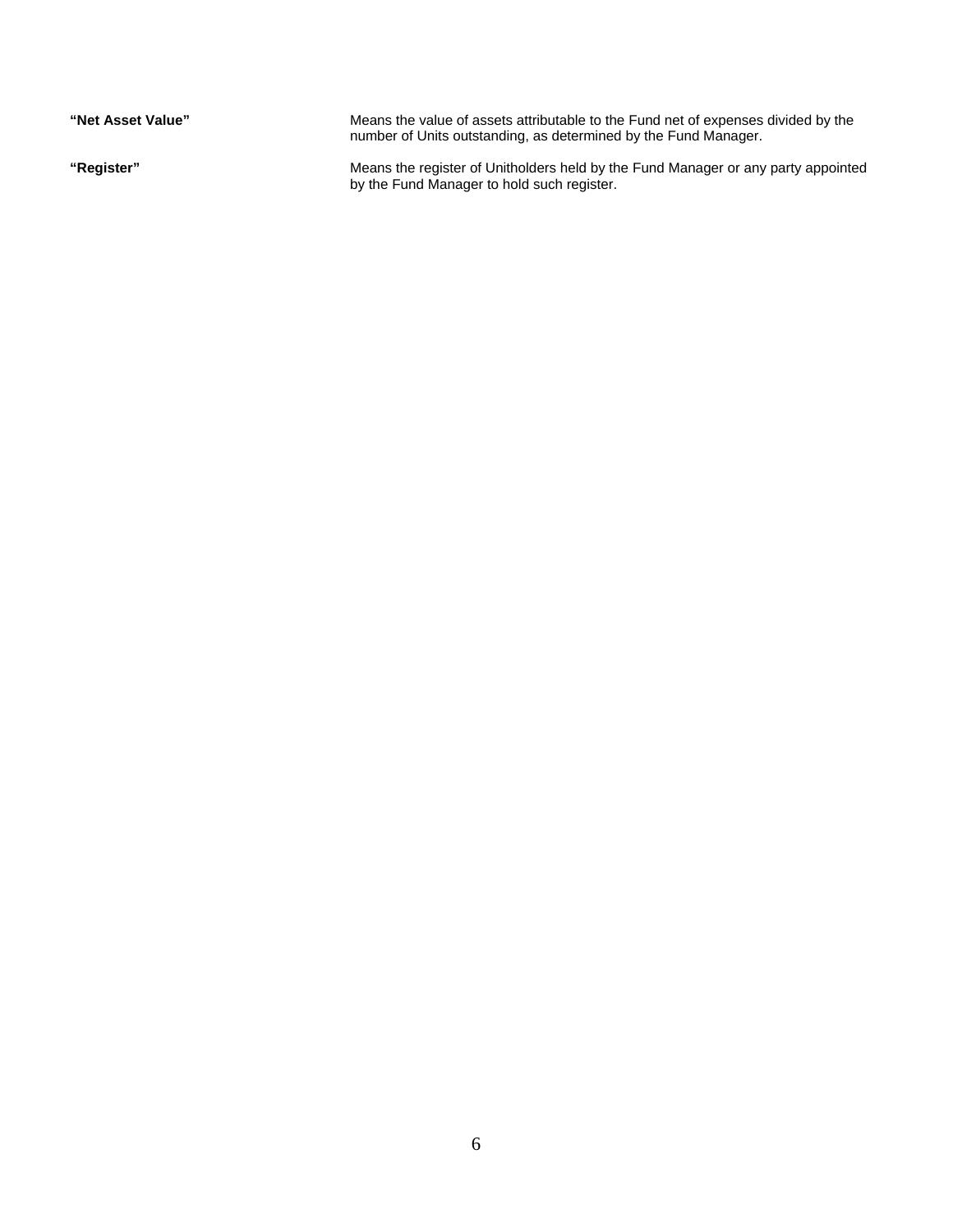| "Net Asset Value" | Means the value of assets attributable to the Fund net of expenses divided by the<br>number of Units outstanding, as determined by the Fund Manager. |
|-------------------|------------------------------------------------------------------------------------------------------------------------------------------------------|
| "Register"        | Means the register of Unitholders held by the Fund Manager or any party appointed<br>by the Fund Manager to hold such register.                      |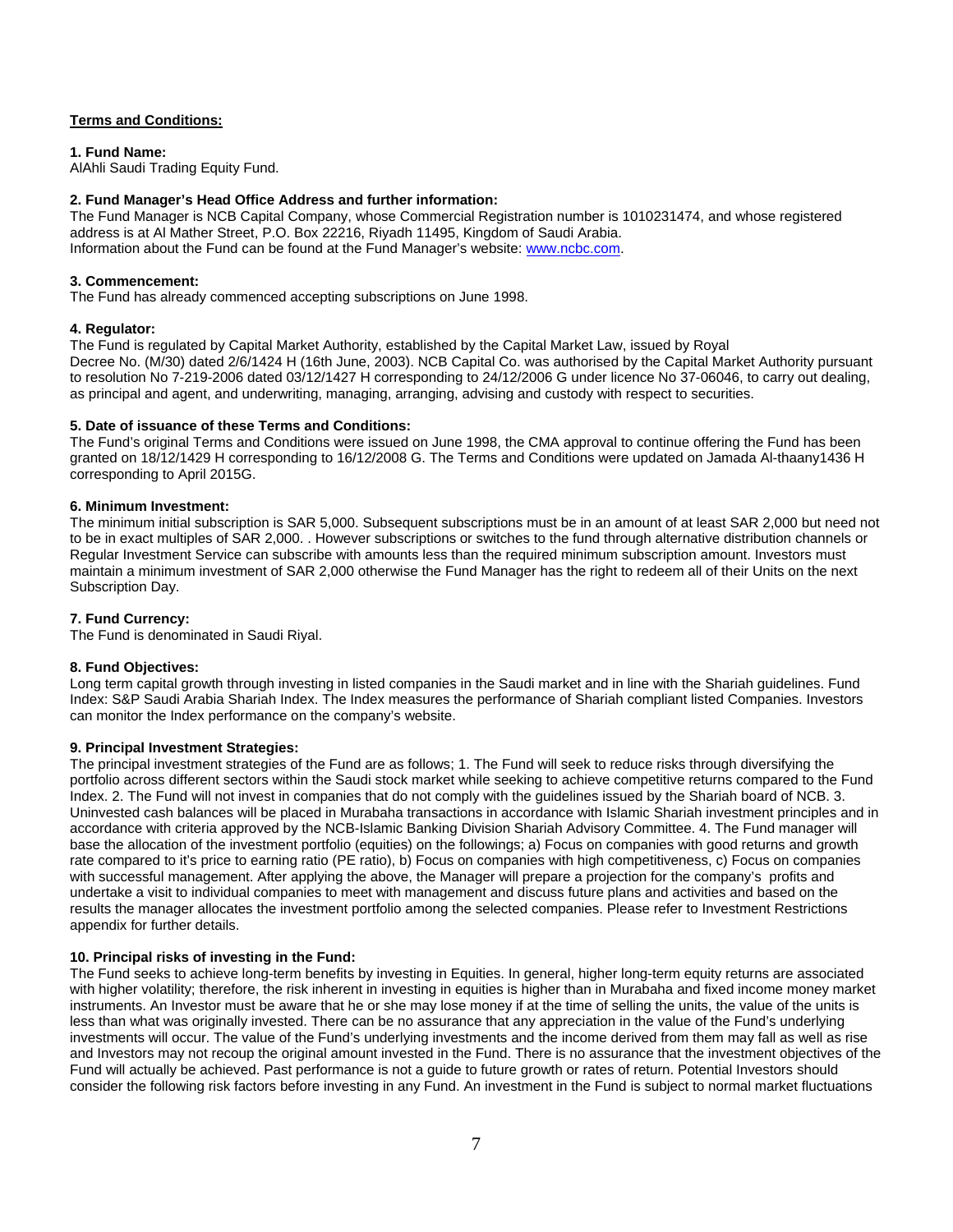## **Terms and Conditions:**

**1. Fund Name:** 

AlAhli Saudi Trading Equity Fund.

## **2. Fund Manager's Head Office Address and further information:**

The Fund Manager is NCB Capital Company, whose Commercial Registration number is 1010231474, and whose registered address is at Al Mather Street, P.O. Box 22216, Riyadh 11495, Kingdom of Saudi Arabia. Information about the Fund can be found at the Fund Manager's website: www.ncbc.com.

## **3. Commencement:**

The Fund has already commenced accepting subscriptions on June 1998.

## **4. Regulator:**

The Fund is regulated by Capital Market Authority, established by the Capital Market Law, issued by Royal Decree No. (M/30) dated 2/6/1424 H (16th June, 2003). NCB Capital Co. was authorised by the Capital Market Authority pursuant to resolution No 7-219-2006 dated 03/12/1427 H corresponding to 24/12/2006 G under licence No 37-06046, to carry out dealing, as principal and agent, and underwriting, managing, arranging, advising and custody with respect to securities.

## **5. Date of issuance of these Terms and Conditions:**

The Fund's original Terms and Conditions were issued on June 1998, the CMA approval to continue offering the Fund has been granted on 18/12/1429 H corresponding to 16/12/2008 G. The Terms and Conditions were updated on Jamada Al-thaany1436 H corresponding to April 2015G.

#### **6. Minimum Investment:**

The minimum initial subscription is SAR 5,000. Subsequent subscriptions must be in an amount of at least SAR 2,000 but need not to be in exact multiples of SAR 2,000. . However subscriptions or switches to the fund through alternative distribution channels or Regular Investment Service can subscribe with amounts less than the required minimum subscription amount. Investors must maintain a minimum investment of SAR 2,000 otherwise the Fund Manager has the right to redeem all of their Units on the next Subscription Day.

## **7. Fund Currency:**

The Fund is denominated in Saudi Riyal.

#### **8. Fund Objectives:**

Long term capital growth through investing in listed companies in the Saudi market and in line with the Shariah guidelines. Fund Index: S&P Saudi Arabia Shariah Index. The Index measures the performance of Shariah compliant listed Companies. Investors can monitor the Index performance on the company's website.

#### **9. Principal Investment Strategies:**

The principal investment strategies of the Fund are as follows; 1. The Fund will seek to reduce risks through diversifying the portfolio across different sectors within the Saudi stock market while seeking to achieve competitive returns compared to the Fund Index. 2. The Fund will not invest in companies that do not comply with the guidelines issued by the Shariah board of NCB. 3. Uninvested cash balances will be placed in Murabaha transactions in accordance with Islamic Shariah investment principles and in accordance with criteria approved by the NCB-Islamic Banking Division Shariah Advisory Committee. 4. The Fund manager will base the allocation of the investment portfolio (equities) on the followings; a) Focus on companies with good returns and growth rate compared to it's price to earning ratio (PE ratio), b) Focus on companies with high competitiveness, c) Focus on companies with successful management. After applying the above, the Manager will prepare a projection for the company's profits and undertake a visit to individual companies to meet with management and discuss future plans and activities and based on the results the manager allocates the investment portfolio among the selected companies. Please refer to Investment Restrictions appendix for further details.

## **10. Principal risks of investing in the Fund:**

The Fund seeks to achieve long-term benefits by investing in Equities. In general, higher long-term equity returns are associated with higher volatility; therefore, the risk inherent in investing in equities is higher than in Murabaha and fixed income money market instruments. An Investor must be aware that he or she may lose money if at the time of selling the units, the value of the units is less than what was originally invested. There can be no assurance that any appreciation in the value of the Fund's underlying investments will occur. The value of the Fund's underlying investments and the income derived from them may fall as well as rise and Investors may not recoup the original amount invested in the Fund. There is no assurance that the investment objectives of the Fund will actually be achieved. Past performance is not a guide to future growth or rates of return. Potential Investors should consider the following risk factors before investing in any Fund. An investment in the Fund is subject to normal market fluctuations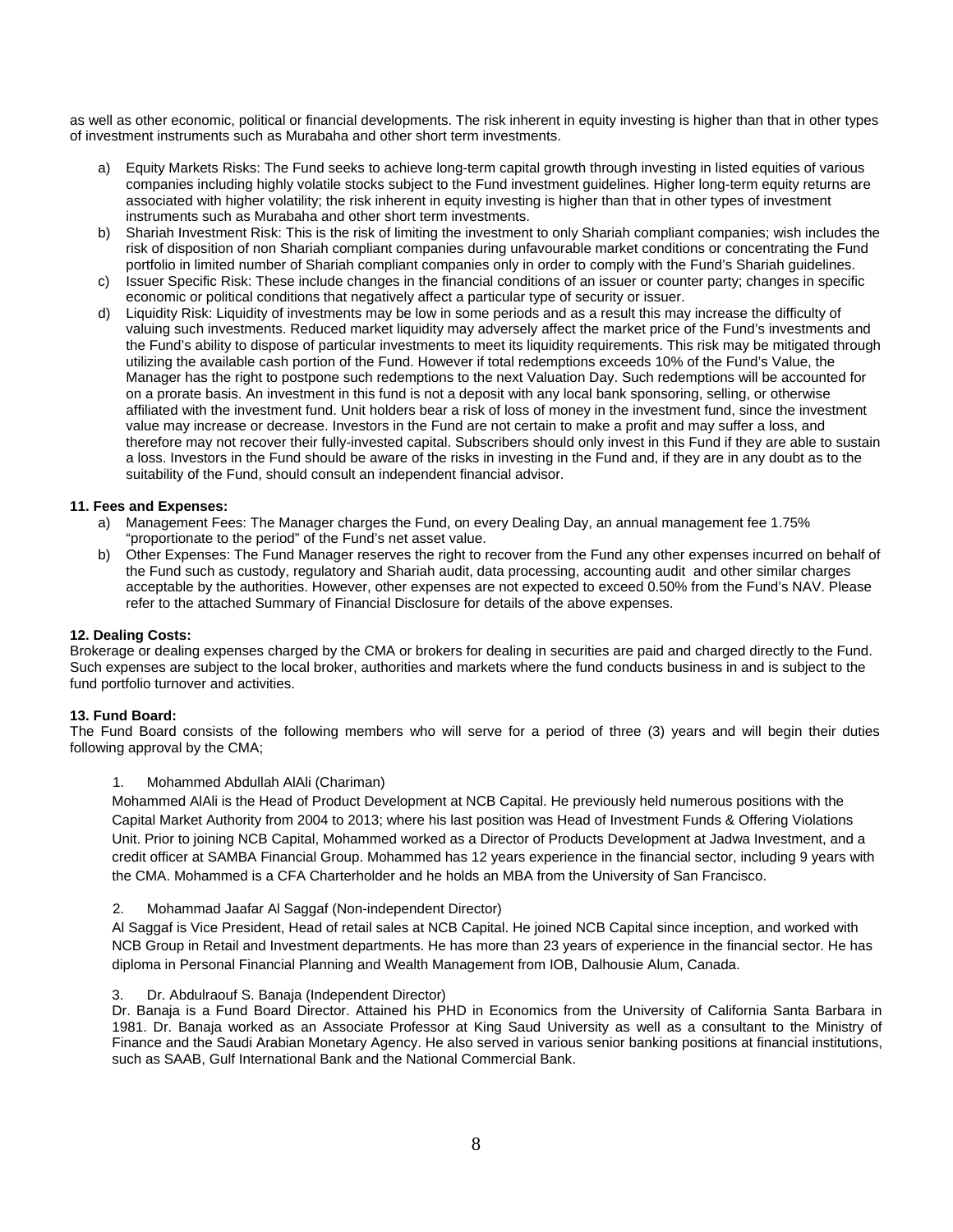as well as other economic, political or financial developments. The risk inherent in equity investing is higher than that in other types of investment instruments such as Murabaha and other short term investments.

- a) Equity Markets Risks: The Fund seeks to achieve long-term capital growth through investing in listed equities of various companies including highly volatile stocks subject to the Fund investment guidelines. Higher long-term equity returns are associated with higher volatility; the risk inherent in equity investing is higher than that in other types of investment instruments such as Murabaha and other short term investments.
- b) Shariah Investment Risk: This is the risk of limiting the investment to only Shariah compliant companies; wish includes the risk of disposition of non Shariah compliant companies during unfavourable market conditions or concentrating the Fund portfolio in limited number of Shariah compliant companies only in order to comply with the Fund's Shariah guidelines.
- c) Issuer Specific Risk: These include changes in the financial conditions of an issuer or counter party; changes in specific economic or political conditions that negatively affect a particular type of security or issuer.
- d) Liquidity Risk: Liquidity of investments may be low in some periods and as a result this may increase the difficulty of valuing such investments. Reduced market liquidity may adversely affect the market price of the Fund's investments and the Fund's ability to dispose of particular investments to meet its liquidity requirements. This risk may be mitigated through utilizing the available cash portion of the Fund. However if total redemptions exceeds 10% of the Fund's Value, the Manager has the right to postpone such redemptions to the next Valuation Day. Such redemptions will be accounted for on a prorate basis. An investment in this fund is not a deposit with any local bank sponsoring, selling, or otherwise affiliated with the investment fund. Unit holders bear a risk of loss of money in the investment fund, since the investment value may increase or decrease. Investors in the Fund are not certain to make a profit and may suffer a loss, and therefore may not recover their fully-invested capital. Subscribers should only invest in this Fund if they are able to sustain a loss. Investors in the Fund should be aware of the risks in investing in the Fund and, if they are in any doubt as to the suitability of the Fund, should consult an independent financial advisor.

#### **11. Fees and Expenses:**

- a) Management Fees: The Manager charges the Fund, on every Dealing Day, an annual management fee 1.75% "proportionate to the period" of the Fund's net asset value.
- b) Other Expenses: The Fund Manager reserves the right to recover from the Fund any other expenses incurred on behalf of the Fund such as custody, regulatory and Shariah audit, data processing, accounting audit and other similar charges acceptable by the authorities. However, other expenses are not expected to exceed 0.50% from the Fund's NAV. Please refer to the attached Summary of Financial Disclosure for details of the above expenses.

#### **12. Dealing Costs:**

Brokerage or dealing expenses charged by the CMA or brokers for dealing in securities are paid and charged directly to the Fund. Such expenses are subject to the local broker, authorities and markets where the fund conducts business in and is subject to the fund portfolio turnover and activities.

#### **13. Fund Board:**

The Fund Board consists of the following members who will serve for a period of three (3) years and will begin their duties following approval by the CMA;

#### 1. Mohammed Abdullah AlAli (Chariman)

Mohammed AlAli is the Head of Product Development at NCB Capital. He previously held numerous positions with the Capital Market Authority from 2004 to 2013; where his last position was Head of Investment Funds & Offering Violations Unit. Prior to joining NCB Capital, Mohammed worked as a Director of Products Development at Jadwa Investment, and a credit officer at SAMBA Financial Group. Mohammed has 12 years experience in the financial sector, including 9 years with the CMA. Mohammed is a CFA Charterholder and he holds an MBA from the University of San Francisco.

2. Mohammad Jaafar Al Saggaf (Non-independent Director)

Al Saggaf is Vice President, Head of retail sales at NCB Capital. He joined NCB Capital since inception, and worked with NCB Group in Retail and Investment departments. He has more than 23 years of experience in the financial sector. He has diploma in Personal Financial Planning and Wealth Management from IOB, Dalhousie Alum, Canada.

#### 3. Dr. Abdulraouf S. Banaja (Independent Director)

Dr. Banaja is a Fund Board Director. Attained his PHD in Economics from the University of California Santa Barbara in 1981. Dr. Banaja worked as an Associate Professor at King Saud University as well as a consultant to the Ministry of Finance and the Saudi Arabian Monetary Agency. He also served in various senior banking positions at financial institutions, such as SAAB, Gulf International Bank and the National Commercial Bank.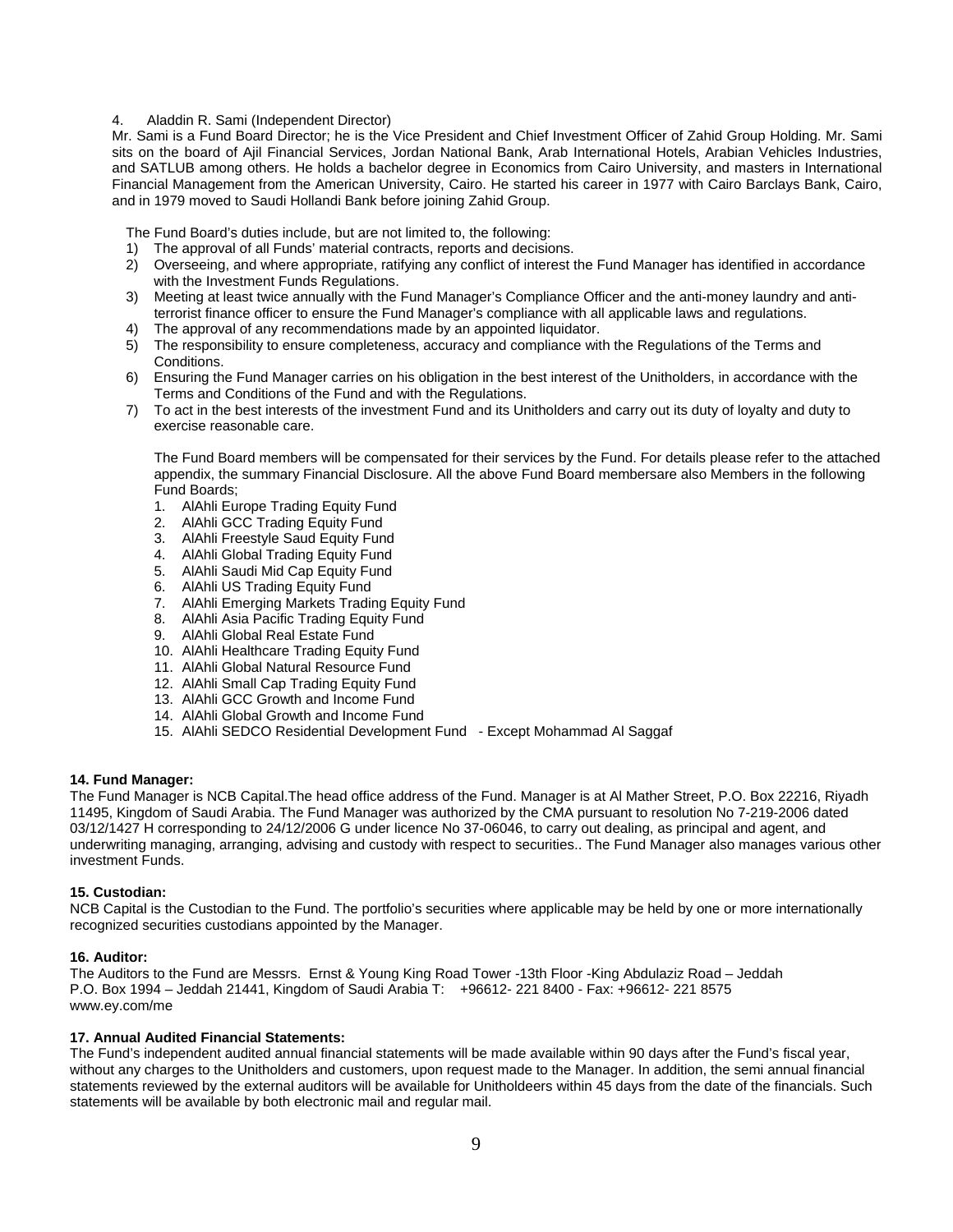#### 4. Aladdin R. Sami (Independent Director)

Mr. Sami is a Fund Board Director; he is the Vice President and Chief Investment Officer of Zahid Group Holding. Mr. Sami sits on the board of Ajil Financial Services, Jordan National Bank, Arab International Hotels, Arabian Vehicles Industries, and SATLUB among others. He holds a bachelor degree in Economics from Cairo University, and masters in International Financial Management from the American University, Cairo. He started his career in 1977 with Cairo Barclays Bank, Cairo, and in 1979 moved to Saudi Hollandi Bank before joining Zahid Group.

The Fund Board's duties include, but are not limited to, the following:

- 1) The approval of all Funds' material contracts, reports and decisions.
- 2) Overseeing, and where appropriate, ratifying any conflict of interest the Fund Manager has identified in accordance with the Investment Funds Regulations.
- 3) Meeting at least twice annually with the Fund Manager's Compliance Officer and the anti-money laundry and antiterrorist finance officer to ensure the Fund Manager's compliance with all applicable laws and regulations.
- 4) The approval of any recommendations made by an appointed liquidator.
- 5) The responsibility to ensure completeness, accuracy and compliance with the Regulations of the Terms and Conditions.
- 6) Ensuring the Fund Manager carries on his obligation in the best interest of the Unitholders, in accordance with the Terms and Conditions of the Fund and with the Regulations.
- 7) To act in the best interests of the investment Fund and its Unitholders and carry out its duty of loyalty and duty to exercise reasonable care.

The Fund Board members will be compensated for their services by the Fund. For details please refer to the attached appendix, the summary Financial Disclosure. All the above Fund Board membersare also Members in the following Fund Boards;

- 1. AlAhli Europe Trading Equity Fund
- 2. AlAhli GCC Trading Equity Fund
- 3. AlAhli Freestyle Saud Equity Fund
- 4. AlAhli Global Trading Equity Fund
- 5. AlAhli Saudi Mid Cap Equity Fund
- 6. AlAhli US Trading Equity Fund
- 7. AlAhli Emerging Markets Trading Equity Fund
- 8. AlAhli Asia Pacific Trading Equity Fund
- 9. AlAhli Global Real Estate Fund
- 10. AlAhli Healthcare Trading Equity Fund
- 11. AlAhli Global Natural Resource Fund
- 12. AlAhli Small Cap Trading Equity Fund
- 13. AlAhli GCC Growth and Income Fund
- 14. AlAhli Global Growth and Income Fund
- 15. AlAhli SEDCO Residential Development Fund Except Mohammad Al Saggaf

#### **14. Fund Manager:**

The Fund Manager is NCB Capital.The head office address of the Fund. Manager is at Al Mather Street, P.O. Box 22216, Riyadh 11495, Kingdom of Saudi Arabia. The Fund Manager was authorized by the CMA pursuant to resolution No 7-219-2006 dated 03/12/1427 H corresponding to 24/12/2006 G under licence No 37-06046, to carry out dealing, as principal and agent, and underwriting managing, arranging, advising and custody with respect to securities.. The Fund Manager also manages various other investment Funds.

#### **15. Custodian:**

NCB Capital is the Custodian to the Fund. The portfolio's securities where applicable may be held by one or more internationally recognized securities custodians appointed by the Manager.

#### **16. Auditor:**

The Auditors to the Fund are Messrs. Ernst & Young King Road Tower -13th Floor -King Abdulaziz Road – Jeddah P.O. Box 1994 – Jeddah 21441, Kingdom of Saudi Arabia T: +96612- 221 8400 - Fax: +96612- 221 8575 www.ey.com/me

#### **17. Annual Audited Financial Statements:**

The Fund's independent audited annual financial statements will be made available within 90 days after the Fund's fiscal year, without any charges to the Unitholders and customers, upon request made to the Manager. In addition, the semi annual financial statements reviewed by the external auditors will be available for Unitholdeers within 45 days from the date of the financials. Such statements will be available by both electronic mail and regular mail.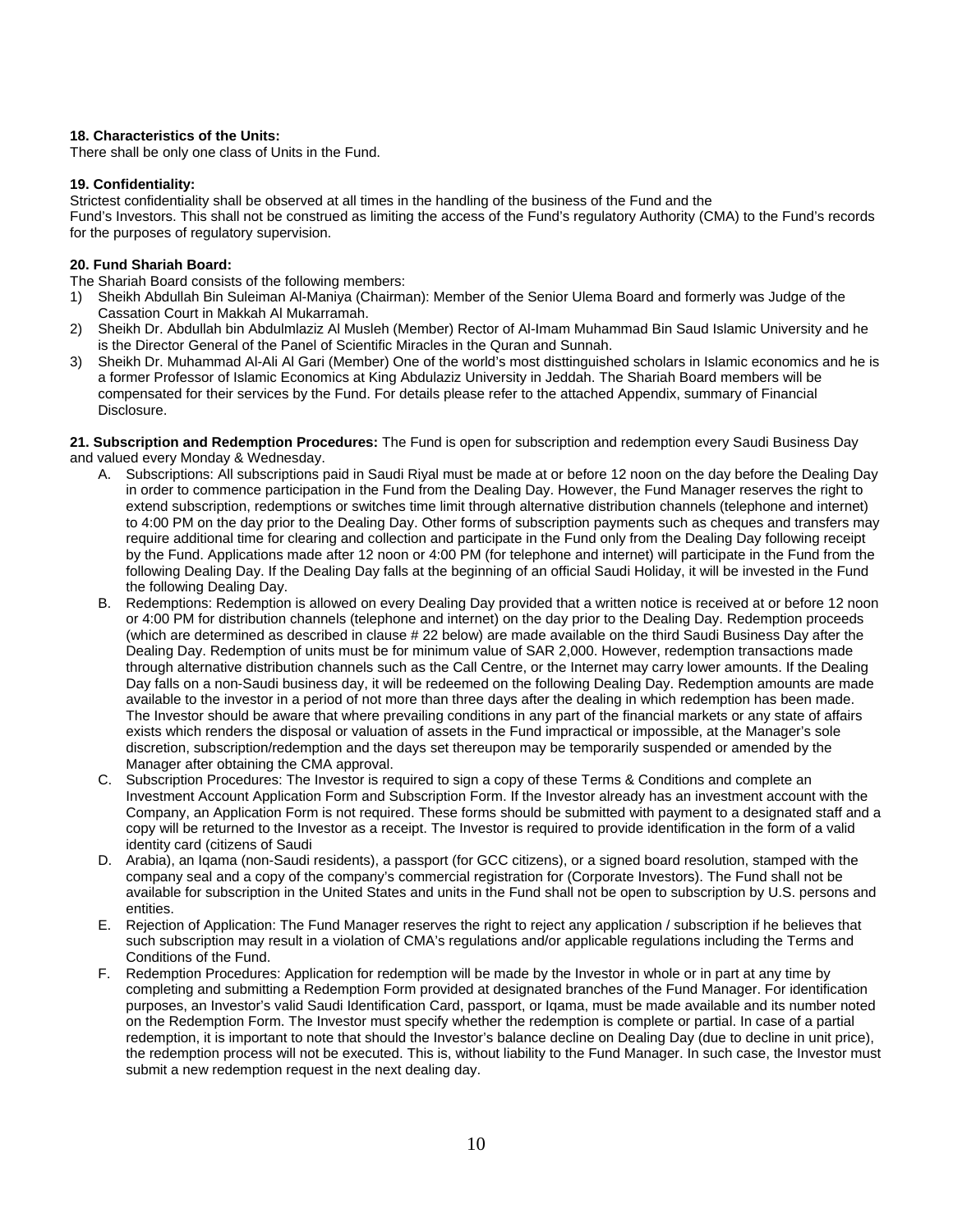## **18. Characteristics of the Units:**

There shall be only one class of Units in the Fund.

#### **19. Confidentiality:**

Strictest confidentiality shall be observed at all times in the handling of the business of the Fund and the Fund's Investors. This shall not be construed as limiting the access of the Fund's regulatory Authority (CMA) to the Fund's records for the purposes of regulatory supervision.

## **20. Fund Shariah Board:**

The Shariah Board consists of the following members:

- 1) Sheikh Abdullah Bin Suleiman Al-Maniya (Chairman): Member of the Senior Ulema Board and formerly was Judge of the Cassation Court in Makkah Al Mukarramah.
- 2) Sheikh Dr. Abdullah bin Abdulmlaziz Al Musleh (Member) Rector of Al-Imam Muhammad Bin Saud Islamic University and he is the Director General of the Panel of Scientific Miracles in the Quran and Sunnah.
- 3) Sheikh Dr. Muhammad Al-Ali Al Gari (Member) One of the world's most disttinguished scholars in Islamic economics and he is a former Professor of Islamic Economics at King Abdulaziz University in Jeddah. The Shariah Board members will be compensated for their services by the Fund. For details please refer to the attached Appendix, summary of Financial Disclosure.

**21. Subscription and Redemption Procedures:** The Fund is open for subscription and redemption every Saudi Business Day and valued every Monday & Wednesday.

- A. Subscriptions: All subscriptions paid in Saudi Riyal must be made at or before 12 noon on the day before the Dealing Day in order to commence participation in the Fund from the Dealing Day. However, the Fund Manager reserves the right to extend subscription, redemptions or switches time limit through alternative distribution channels (telephone and internet) to 4:00 PM on the day prior to the Dealing Day. Other forms of subscription payments such as cheques and transfers may require additional time for clearing and collection and participate in the Fund only from the Dealing Day following receipt by the Fund. Applications made after 12 noon or 4:00 PM (for telephone and internet) will participate in the Fund from the following Dealing Day. If the Dealing Day falls at the beginning of an official Saudi Holiday, it will be invested in the Fund the following Dealing Day.
- B. Redemptions: Redemption is allowed on every Dealing Day provided that a written notice is received at or before 12 noon or 4:00 PM for distribution channels (telephone and internet) on the day prior to the Dealing Day. Redemption proceeds (which are determined as described in clause # 22 below) are made available on the third Saudi Business Day after the Dealing Day. Redemption of units must be for minimum value of SAR 2,000. However, redemption transactions made through alternative distribution channels such as the Call Centre, or the Internet may carry lower amounts. If the Dealing Day falls on a non-Saudi business day, it will be redeemed on the following Dealing Day. Redemption amounts are made available to the investor in a period of not more than three days after the dealing in which redemption has been made. The Investor should be aware that where prevailing conditions in any part of the financial markets or any state of affairs exists which renders the disposal or valuation of assets in the Fund impractical or impossible, at the Manager's sole discretion, subscription/redemption and the days set thereupon may be temporarily suspended or amended by the Manager after obtaining the CMA approval.
- C. Subscription Procedures: The Investor is required to sign a copy of these Terms & Conditions and complete an Investment Account Application Form and Subscription Form. If the Investor already has an investment account with the Company, an Application Form is not required. These forms should be submitted with payment to a designated staff and a copy will be returned to the Investor as a receipt. The Investor is required to provide identification in the form of a valid identity card (citizens of Saudi
- D. Arabia), an Iqama (non-Saudi residents), a passport (for GCC citizens), or a signed board resolution, stamped with the company seal and a copy of the company's commercial registration for (Corporate Investors). The Fund shall not be available for subscription in the United States and units in the Fund shall not be open to subscription by U.S. persons and entities.
- E. Rejection of Application: The Fund Manager reserves the right to reject any application / subscription if he believes that such subscription may result in a violation of CMA's regulations and/or applicable regulations including the Terms and Conditions of the Fund.
- F. Redemption Procedures: Application for redemption will be made by the Investor in whole or in part at any time by completing and submitting a Redemption Form provided at designated branches of the Fund Manager. For identification purposes, an Investor's valid Saudi Identification Card, passport, or Iqama, must be made available and its number noted on the Redemption Form. The Investor must specify whether the redemption is complete or partial. In case of a partial redemption, it is important to note that should the Investor's balance decline on Dealing Day (due to decline in unit price), the redemption process will not be executed. This is, without liability to the Fund Manager. In such case, the Investor must submit a new redemption request in the next dealing day.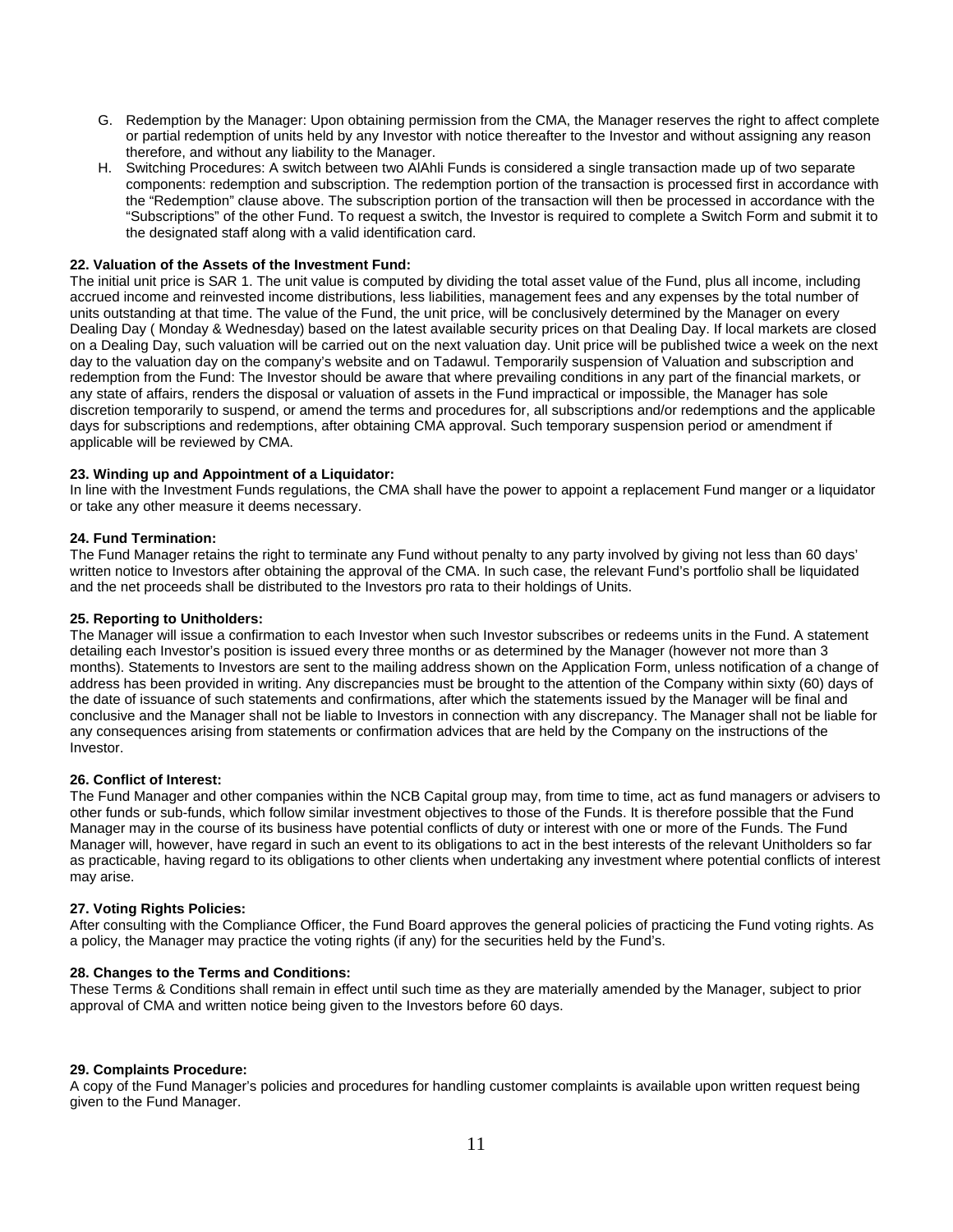- G. Redemption by the Manager: Upon obtaining permission from the CMA, the Manager reserves the right to affect complete or partial redemption of units held by any Investor with notice thereafter to the Investor and without assigning any reason therefore, and without any liability to the Manager.
- H. Switching Procedures: A switch between two AlAhli Funds is considered a single transaction made up of two separate components: redemption and subscription. The redemption portion of the transaction is processed first in accordance with the "Redemption" clause above. The subscription portion of the transaction will then be processed in accordance with the "Subscriptions" of the other Fund. To request a switch, the Investor is required to complete a Switch Form and submit it to the designated staff along with a valid identification card.

#### **22. Valuation of the Assets of the Investment Fund:**

The initial unit price is SAR 1. The unit value is computed by dividing the total asset value of the Fund, plus all income, including accrued income and reinvested income distributions, less liabilities, management fees and any expenses by the total number of units outstanding at that time. The value of the Fund, the unit price, will be conclusively determined by the Manager on every Dealing Day ( Monday & Wednesday) based on the latest available security prices on that Dealing Day. If local markets are closed on a Dealing Day, such valuation will be carried out on the next valuation day. Unit price will be published twice a week on the next day to the valuation day on the company's website and on Tadawul. Temporarily suspension of Valuation and subscription and redemption from the Fund: The Investor should be aware that where prevailing conditions in any part of the financial markets, or any state of affairs, renders the disposal or valuation of assets in the Fund impractical or impossible, the Manager has sole discretion temporarily to suspend, or amend the terms and procedures for, all subscriptions and/or redemptions and the applicable days for subscriptions and redemptions, after obtaining CMA approval. Such temporary suspension period or amendment if applicable will be reviewed by CMA.

#### **23. Winding up and Appointment of a Liquidator:**

In line with the Investment Funds regulations, the CMA shall have the power to appoint a replacement Fund manger or a liquidator or take any other measure it deems necessary.

#### **24. Fund Termination:**

The Fund Manager retains the right to terminate any Fund without penalty to any party involved by giving not less than 60 days' written notice to Investors after obtaining the approval of the CMA. In such case, the relevant Fund's portfolio shall be liquidated and the net proceeds shall be distributed to the Investors pro rata to their holdings of Units.

#### **25. Reporting to Unitholders:**

The Manager will issue a confirmation to each Investor when such Investor subscribes or redeems units in the Fund. A statement detailing each Investor's position is issued every three months or as determined by the Manager (however not more than 3 months). Statements to Investors are sent to the mailing address shown on the Application Form, unless notification of a change of address has been provided in writing. Any discrepancies must be brought to the attention of the Company within sixty (60) days of the date of issuance of such statements and confirmations, after which the statements issued by the Manager will be final and conclusive and the Manager shall not be liable to Investors in connection with any discrepancy. The Manager shall not be liable for any consequences arising from statements or confirmation advices that are held by the Company on the instructions of the Investor.

#### **26. Conflict of Interest:**

The Fund Manager and other companies within the NCB Capital group may, from time to time, act as fund managers or advisers to other funds or sub-funds, which follow similar investment objectives to those of the Funds. It is therefore possible that the Fund Manager may in the course of its business have potential conflicts of duty or interest with one or more of the Funds. The Fund Manager will, however, have regard in such an event to its obligations to act in the best interests of the relevant Unitholders so far as practicable, having regard to its obligations to other clients when undertaking any investment where potential conflicts of interest may arise.

#### **27. Voting Rights Policies:**

After consulting with the Compliance Officer, the Fund Board approves the general policies of practicing the Fund voting rights. As a policy, the Manager may practice the voting rights (if any) for the securities held by the Fund's.

#### **28. Changes to the Terms and Conditions:**

These Terms & Conditions shall remain in effect until such time as they are materially amended by the Manager, subject to prior approval of CMA and written notice being given to the Investors before 60 days.

#### **29. Complaints Procedure:**

A copy of the Fund Manager's policies and procedures for handling customer complaints is available upon written request being given to the Fund Manager.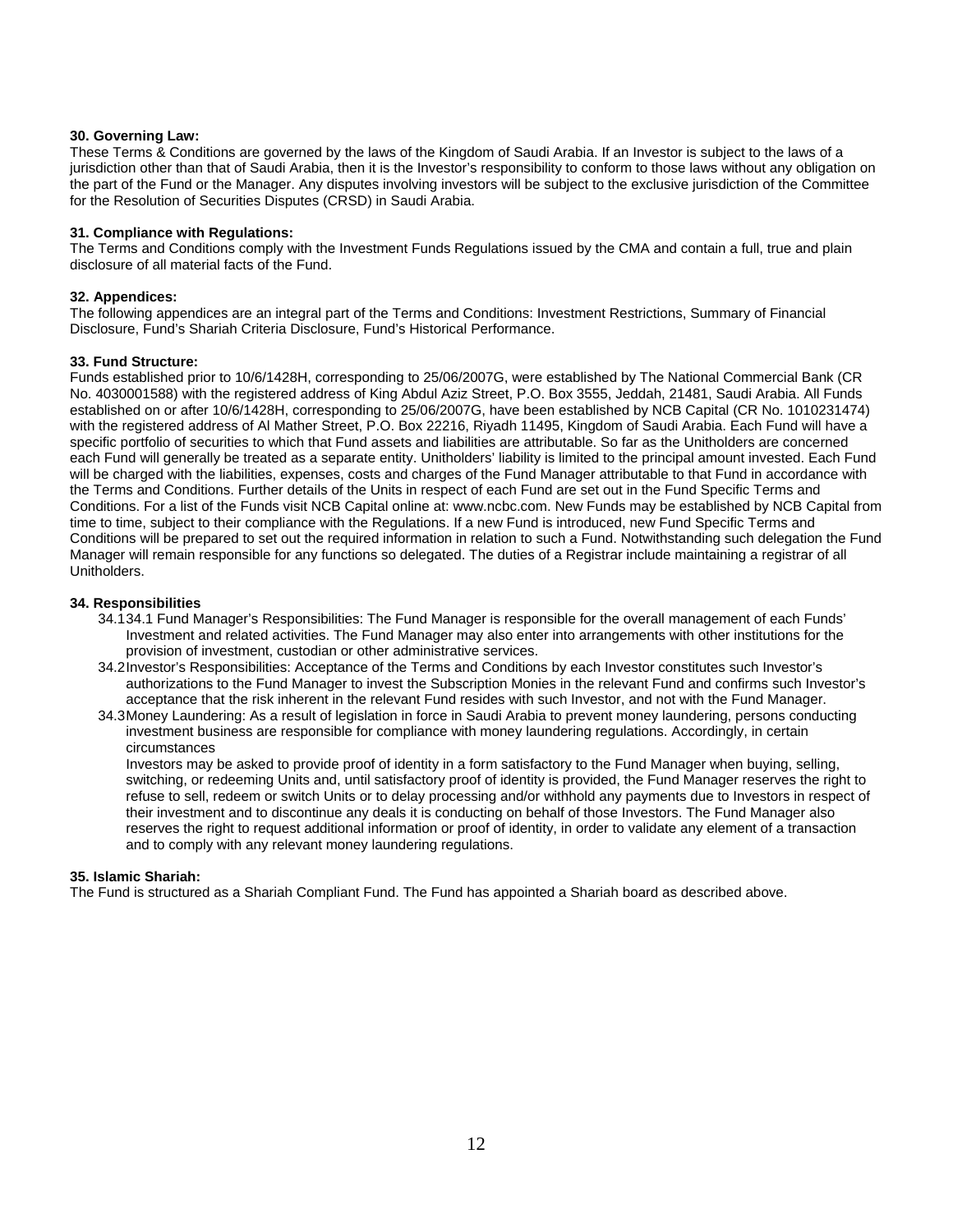## **30. Governing Law:**

These Terms & Conditions are governed by the laws of the Kingdom of Saudi Arabia. If an Investor is subject to the laws of a jurisdiction other than that of Saudi Arabia, then it is the Investor's responsibility to conform to those laws without any obligation on the part of the Fund or the Manager. Any disputes involving investors will be subject to the exclusive jurisdiction of the Committee for the Resolution of Securities Disputes (CRSD) in Saudi Arabia.

## **31. Compliance with Regulations:**

The Terms and Conditions comply with the Investment Funds Regulations issued by the CMA and contain a full, true and plain disclosure of all material facts of the Fund.

## **32. Appendices:**

The following appendices are an integral part of the Terms and Conditions: Investment Restrictions, Summary of Financial Disclosure, Fund's Shariah Criteria Disclosure, Fund's Historical Performance.

## **33. Fund Structure:**

Funds established prior to 10/6/1428H, corresponding to 25/06/2007G, were established by The National Commercial Bank (CR No. 4030001588) with the registered address of King Abdul Aziz Street, P.O. Box 3555, Jeddah, 21481, Saudi Arabia. All Funds established on or after 10/6/1428H, corresponding to 25/06/2007G, have been established by NCB Capital (CR No. 1010231474) with the registered address of Al Mather Street, P.O. Box 22216, Riyadh 11495, Kingdom of Saudi Arabia. Each Fund will have a specific portfolio of securities to which that Fund assets and liabilities are attributable. So far as the Unitholders are concerned each Fund will generally be treated as a separate entity. Unitholders' liability is limited to the principal amount invested. Each Fund will be charged with the liabilities, expenses, costs and charges of the Fund Manager attributable to that Fund in accordance with the Terms and Conditions. Further details of the Units in respect of each Fund are set out in the Fund Specific Terms and Conditions. For a list of the Funds visit NCB Capital online at: www.ncbc.com. New Funds may be established by NCB Capital from time to time, subject to their compliance with the Regulations. If a new Fund is introduced, new Fund Specific Terms and Conditions will be prepared to set out the required information in relation to such a Fund. Notwithstanding such delegation the Fund Manager will remain responsible for any functions so delegated. The duties of a Registrar include maintaining a registrar of all Unitholders.

## **34. Responsibilities**

- 34.1 34.1 Fund Manager's Responsibilities: The Fund Manager is responsible for the overall management of each Funds' Investment and related activities. The Fund Manager may also enter into arrangements with other institutions for the provision of investment, custodian or other administrative services.
- 34.2 Investor's Responsibilities: Acceptance of the Terms and Conditions by each Investor constitutes such Investor's authorizations to the Fund Manager to invest the Subscription Monies in the relevant Fund and confirms such Investor's acceptance that the risk inherent in the relevant Fund resides with such Investor, and not with the Fund Manager.
- 34.3 Money Laundering: As a result of legislation in force in Saudi Arabia to prevent money laundering, persons conducting investment business are responsible for compliance with money laundering regulations. Accordingly, in certain circumstances

Investors may be asked to provide proof of identity in a form satisfactory to the Fund Manager when buying, selling, switching, or redeeming Units and, until satisfactory proof of identity is provided, the Fund Manager reserves the right to refuse to sell, redeem or switch Units or to delay processing and/or withhold any payments due to Investors in respect of their investment and to discontinue any deals it is conducting on behalf of those Investors. The Fund Manager also reserves the right to request additional information or proof of identity, in order to validate any element of a transaction and to comply with any relevant money laundering regulations.

#### **35. Islamic Shariah:**

The Fund is structured as a Shariah Compliant Fund. The Fund has appointed a Shariah board as described above.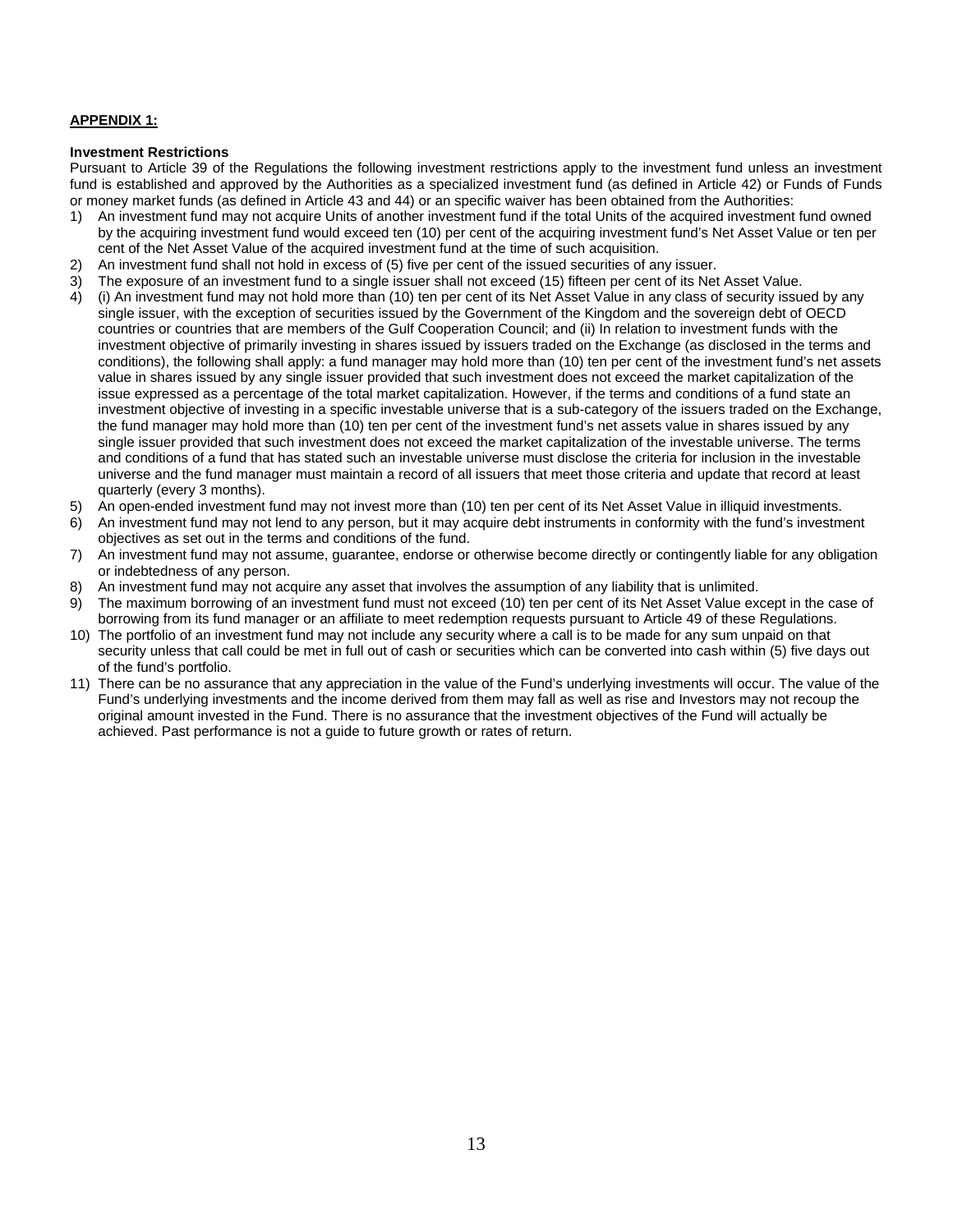## **APPENDIX 1:**

#### **Investment Restrictions**

Pursuant to Article 39 of the Regulations the following investment restrictions apply to the investment fund unless an investment fund is established and approved by the Authorities as a specialized investment fund (as defined in Article 42) or Funds of Funds or money market funds (as defined in Article 43 and 44) or an specific waiver has been obtained from the Authorities:

- 1) An investment fund may not acquire Units of another investment fund if the total Units of the acquired investment fund owned by the acquiring investment fund would exceed ten (10) per cent of the acquiring investment fund's Net Asset Value or ten per cent of the Net Asset Value of the acquired investment fund at the time of such acquisition.
- 2) An investment fund shall not hold in excess of (5) five per cent of the issued securities of any issuer.
- 3) The exposure of an investment fund to a single issuer shall not exceed (15) fifteen per cent of its Net Asset Value.
- 4) (i) An investment fund may not hold more than (10) ten per cent of its Net Asset Value in any class of security issued by any single issuer, with the exception of securities issued by the Government of the Kingdom and the sovereign debt of OECD countries or countries that are members of the Gulf Cooperation Council; and (ii) In relation to investment funds with the investment objective of primarily investing in shares issued by issuers traded on the Exchange (as disclosed in the terms and conditions), the following shall apply: a fund manager may hold more than (10) ten per cent of the investment fund's net assets value in shares issued by any single issuer provided that such investment does not exceed the market capitalization of the issue expressed as a percentage of the total market capitalization. However, if the terms and conditions of a fund state an investment objective of investing in a specific investable universe that is a sub-category of the issuers traded on the Exchange, the fund manager may hold more than (10) ten per cent of the investment fund's net assets value in shares issued by any single issuer provided that such investment does not exceed the market capitalization of the investable universe. The terms and conditions of a fund that has stated such an investable universe must disclose the criteria for inclusion in the investable universe and the fund manager must maintain a record of all issuers that meet those criteria and update that record at least quarterly (every 3 months).
- 5) An open-ended investment fund may not invest more than (10) ten per cent of its Net Asset Value in illiquid investments.
- 6) An investment fund may not lend to any person, but it may acquire debt instruments in conformity with the fund's investment objectives as set out in the terms and conditions of the fund.
- 7) An investment fund may not assume, guarantee, endorse or otherwise become directly or contingently liable for any obligation or indebtedness of any person.
- 8) An investment fund may not acquire any asset that involves the assumption of any liability that is unlimited.
- 9) The maximum borrowing of an investment fund must not exceed (10) ten per cent of its Net Asset Value except in the case of borrowing from its fund manager or an affiliate to meet redemption requests pursuant to Article 49 of these Regulations.
- 10) The portfolio of an investment fund may not include any security where a call is to be made for any sum unpaid on that security unless that call could be met in full out of cash or securities which can be converted into cash within (5) five days out of the fund's portfolio.
- 11) There can be no assurance that any appreciation in the value of the Fund's underlying investments will occur. The value of the Fund's underlying investments and the income derived from them may fall as well as rise and Investors may not recoup the original amount invested in the Fund. There is no assurance that the investment objectives of the Fund will actually be achieved. Past performance is not a guide to future growth or rates of return.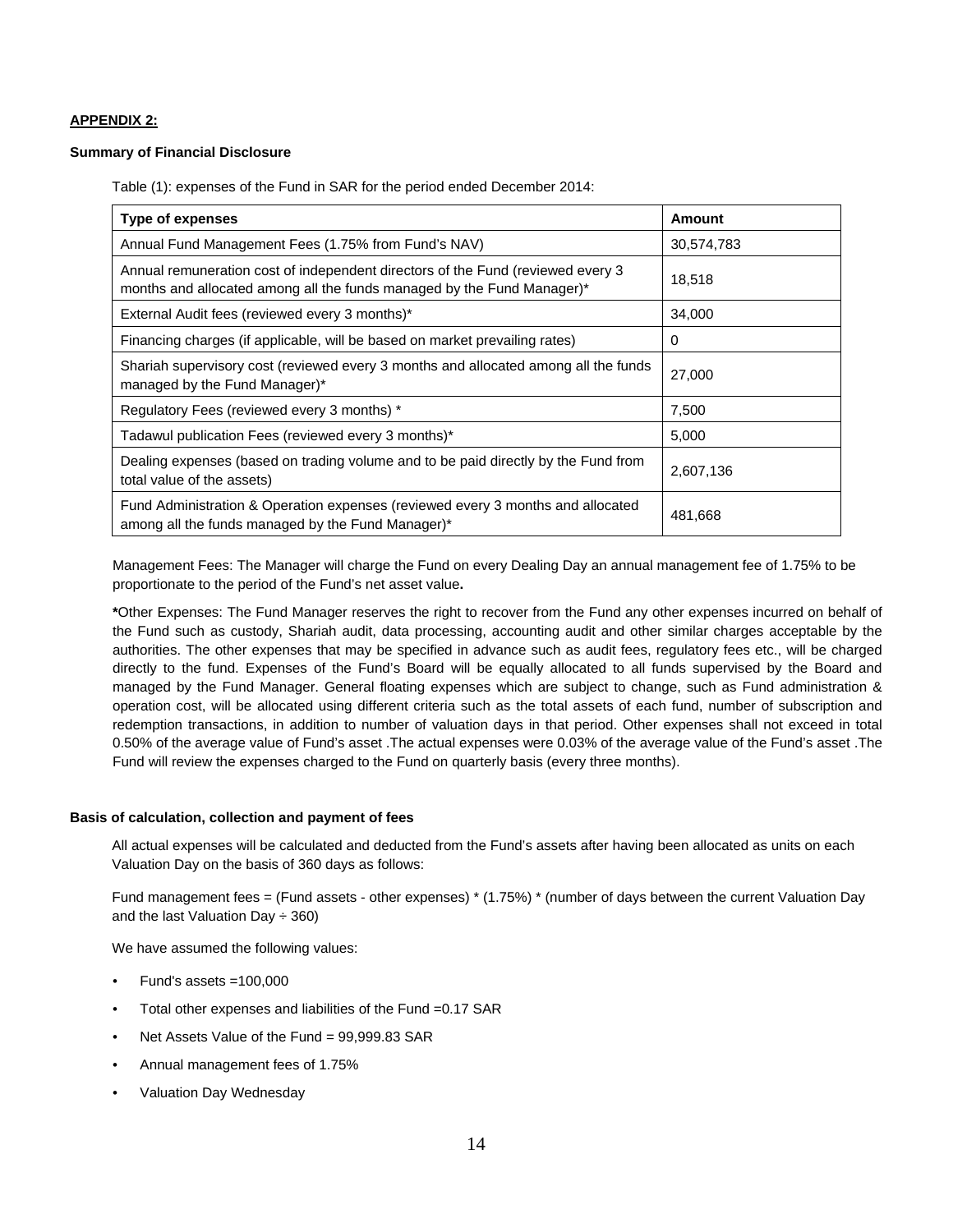## **APPENDIX 2:**

#### **Summary of Financial Disclosure**

Table (1): expenses of the Fund in SAR for the period ended December 2014:

| Type of expenses                                                                                                                                          | <b>Amount</b> |  |
|-----------------------------------------------------------------------------------------------------------------------------------------------------------|---------------|--|
| Annual Fund Management Fees (1.75% from Fund's NAV)                                                                                                       | 30,574,783    |  |
| Annual remuneration cost of independent directors of the Fund (reviewed every 3<br>months and allocated among all the funds managed by the Fund Manager)* | 18,518        |  |
| External Audit fees (reviewed every 3 months)*                                                                                                            | 34,000        |  |
| Financing charges (if applicable, will be based on market prevailing rates)                                                                               | 0             |  |
| Shariah supervisory cost (reviewed every 3 months and allocated among all the funds<br>managed by the Fund Manager)*                                      | 27,000        |  |
| Regulatory Fees (reviewed every 3 months) *                                                                                                               | 7,500         |  |
| Tadawul publication Fees (reviewed every 3 months)*                                                                                                       | 5,000         |  |
| Dealing expenses (based on trading volume and to be paid directly by the Fund from<br>total value of the assets)                                          | 2,607,136     |  |
| Fund Administration & Operation expenses (reviewed every 3 months and allocated<br>among all the funds managed by the Fund Manager)*                      | 481,668       |  |

Management Fees: The Manager will charge the Fund on every Dealing Day an annual management fee of 1.75% to be proportionate to the period of the Fund's net asset value**.** 

**\***Other Expenses: The Fund Manager reserves the right to recover from the Fund any other expenses incurred on behalf of the Fund such as custody, Shariah audit, data processing, accounting audit and other similar charges acceptable by the authorities. The other expenses that may be specified in advance such as audit fees, regulatory fees etc., will be charged directly to the fund. Expenses of the Fund's Board will be equally allocated to all funds supervised by the Board and managed by the Fund Manager. General floating expenses which are subject to change, such as Fund administration & operation cost, will be allocated using different criteria such as the total assets of each fund, number of subscription and redemption transactions, in addition to number of valuation days in that period. Other expenses shall not exceed in total 0.50% of the average value of Fund's asset .The actual expenses were 0.03% of the average value of the Fund's asset .The Fund will review the expenses charged to the Fund on quarterly basis (every three months).

#### **Basis of calculation, collection and payment of fees**

All actual expenses will be calculated and deducted from the Fund's assets after having been allocated as units on each Valuation Day on the basis of 360 days as follows:

Fund management fees = (Fund assets - other expenses) \* (1.75%) \* (number of days between the current Valuation Day and the last Valuation Day  $\div$  360)

We have assumed the following values:

- Fund's assets  $=100,000$
- Total other expenses and liabilities of the Fund =0.17 SAR
- Net Assets Value of the Fund = 99,999.83 SAR
- Annual management fees of 1.75%
- Valuation Day Wednesday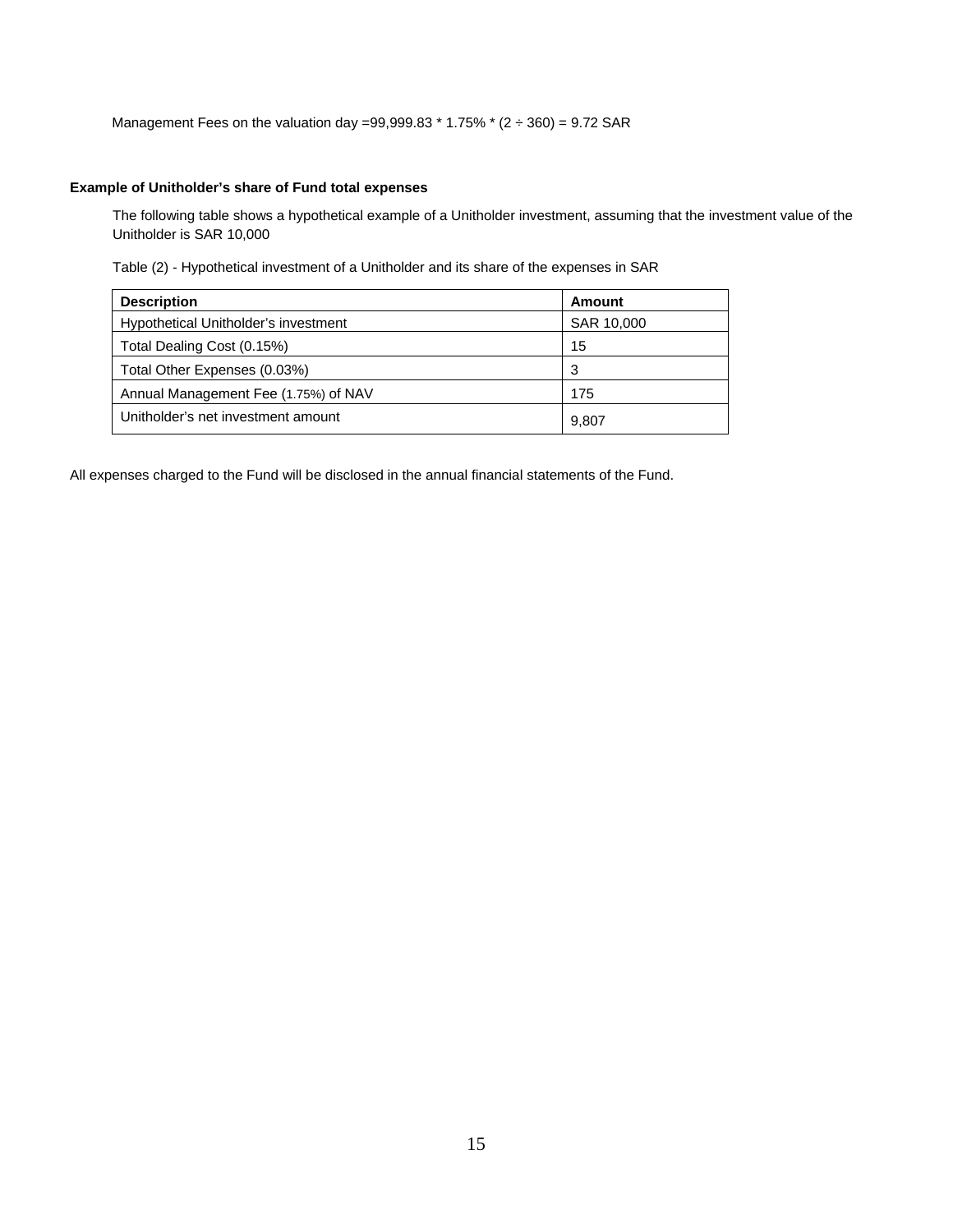Management Fees on the valuation day =99,999.83  $*$  1.75%  $*$  (2  $\div$  360) = 9.72 SAR

## **Example of Unitholder's share of Fund total expenses**

The following table shows a hypothetical example of a Unitholder investment, assuming that the investment value of the Unitholder is SAR 10,000

Table (2) - Hypothetical investment of a Unitholder and its share of the expenses in SAR

| <b>Description</b>                   | Amount     |
|--------------------------------------|------------|
| Hypothetical Unitholder's investment | SAR 10,000 |
| Total Dealing Cost (0.15%)           | 15         |
| Total Other Expenses (0.03%)         | 3          |
| Annual Management Fee (1.75%) of NAV | 175        |
| Unitholder's net investment amount   | 9,807      |

All expenses charged to the Fund will be disclosed in the annual financial statements of the Fund.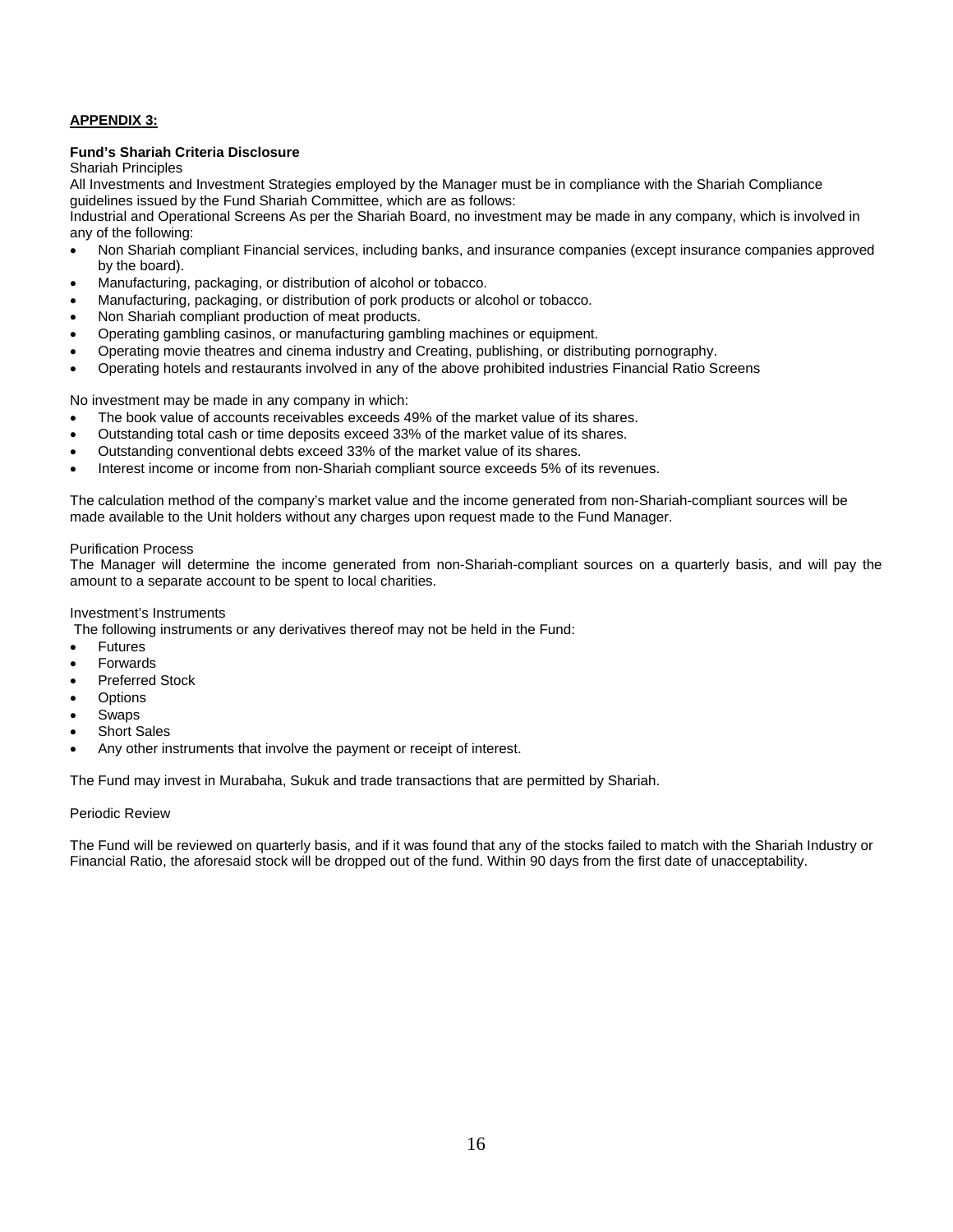## **APPENDIX 3:**

#### **Fund's Shariah Criteria Disclosure**

Shariah Principles

All Investments and Investment Strategies employed by the Manager must be in compliance with the Shariah Compliance guidelines issued by the Fund Shariah Committee, which are as follows:

Industrial and Operational Screens As per the Shariah Board, no investment may be made in any company, which is involved in any of the following:

- Non Shariah compliant Financial services, including banks, and insurance companies (except insurance companies approved by the board).
- Manufacturing, packaging, or distribution of alcohol or tobacco.
- Manufacturing, packaging, or distribution of pork products or alcohol or tobacco.
- Non Shariah compliant production of meat products.
- Operating gambling casinos, or manufacturing gambling machines or equipment.
- Operating movie theatres and cinema industry and Creating, publishing, or distributing pornography.
- Operating hotels and restaurants involved in any of the above prohibited industries Financial Ratio Screens

No investment may be made in any company in which:

- The book value of accounts receivables exceeds 49% of the market value of its shares.
- Outstanding total cash or time deposits exceed 33% of the market value of its shares.
- Outstanding conventional debts exceed 33% of the market value of its shares.
- Interest income or income from non-Shariah compliant source exceeds 5% of its revenues.

The calculation method of the company's market value and the income generated from non-Shariah-compliant sources will be made available to the Unit holders without any charges upon request made to the Fund Manager.

#### Purification Process

The Manager will determine the income generated from non-Shariah-compliant sources on a quarterly basis, and will pay the amount to a separate account to be spent to local charities.

#### Investment's Instruments

The following instruments or any derivatives thereof may not be held in the Fund:

- **•** Futures
- Forwards
- Preferred Stock
- Options
- Swaps
- Short Sales
- Any other instruments that involve the payment or receipt of interest.

The Fund may invest in Murabaha, Sukuk and trade transactions that are permitted by Shariah.

#### Periodic Review

The Fund will be reviewed on quarterly basis, and if it was found that any of the stocks failed to match with the Shariah Industry or Financial Ratio, the aforesaid stock will be dropped out of the fund. Within 90 days from the first date of unacceptability.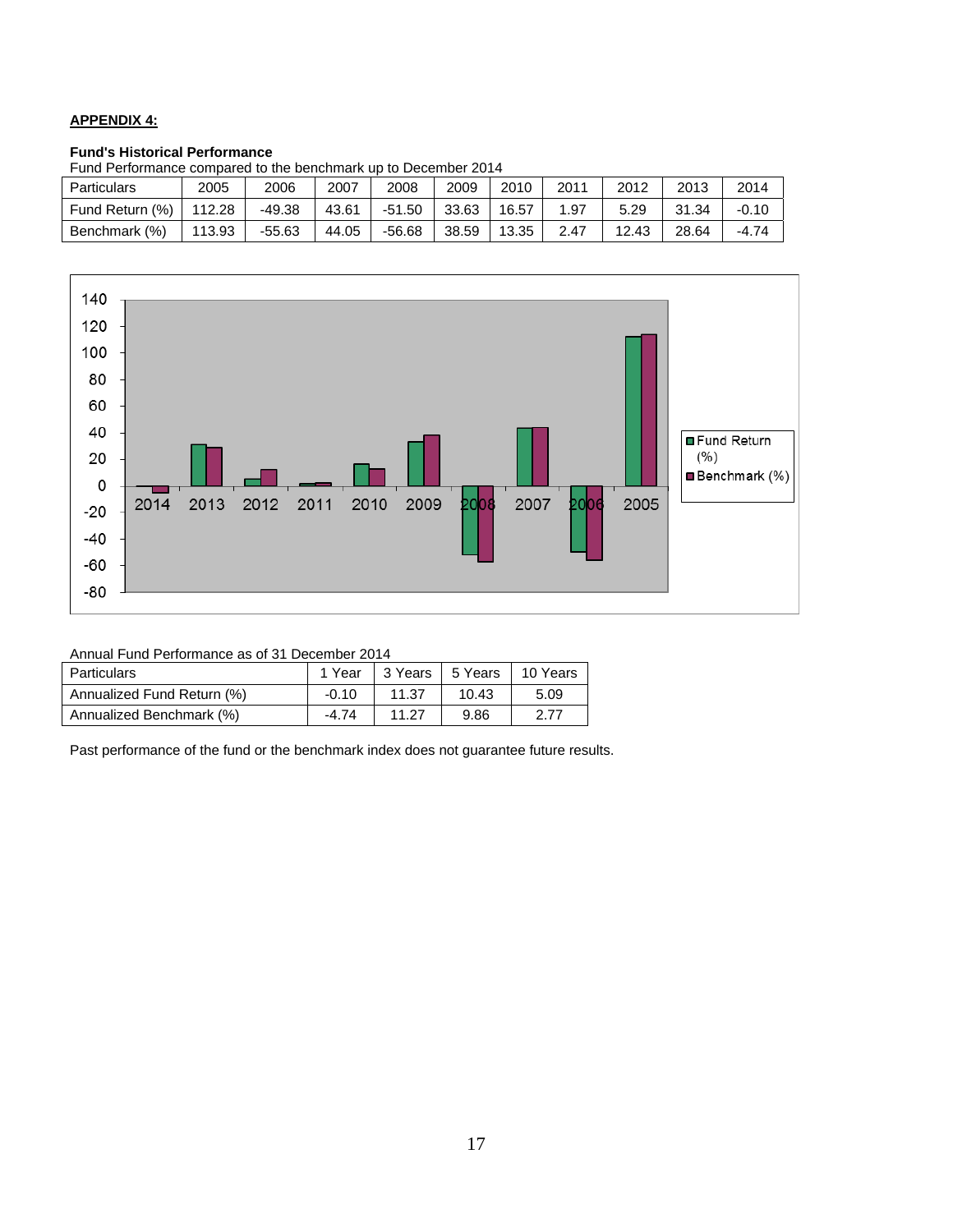## **APPENDIX 4:**

#### **Fund's Historical Performance**

| und Fenomiance compared to the benchmark up to December 2014 $\,$ |        |          |       |          |       |       |      |       |       |         |
|-------------------------------------------------------------------|--------|----------|-------|----------|-------|-------|------|-------|-------|---------|
| Particulars                                                       | 2005   | 2006     | 2007  | 2008     | 2009  | 2010  | 2011 | 2012  | 2013  | 2014    |
| Fund Return (%)                                                   | 112.28 | $-49.38$ | 43.61 | $-51.50$ | 33.63 | 16.57 | 1.97 | 5.29  | 31.34 | $-0.10$ |
| Benchmark (%)                                                     | 113.93 | $-55.63$ | 44.05 | $-56.68$ | 38.59 | 13.35 | 2.47 | 12.43 | 28.64 | $-4.74$ |





| Annual Fund Performance as of 31 December 2014 |  |
|------------------------------------------------|--|
|------------------------------------------------|--|

| Particulars                | 1 Year  | 3 Years | 5 Years | 10 Years |
|----------------------------|---------|---------|---------|----------|
| Annualized Fund Return (%) | $-0.10$ | 11.37   | 10.43   | 5.09     |
| Annualized Benchmark (%)   | $-4.74$ | 11.27   | 9.86    | 2.77     |

Past performance of the fund or the benchmark index does not guarantee future results.